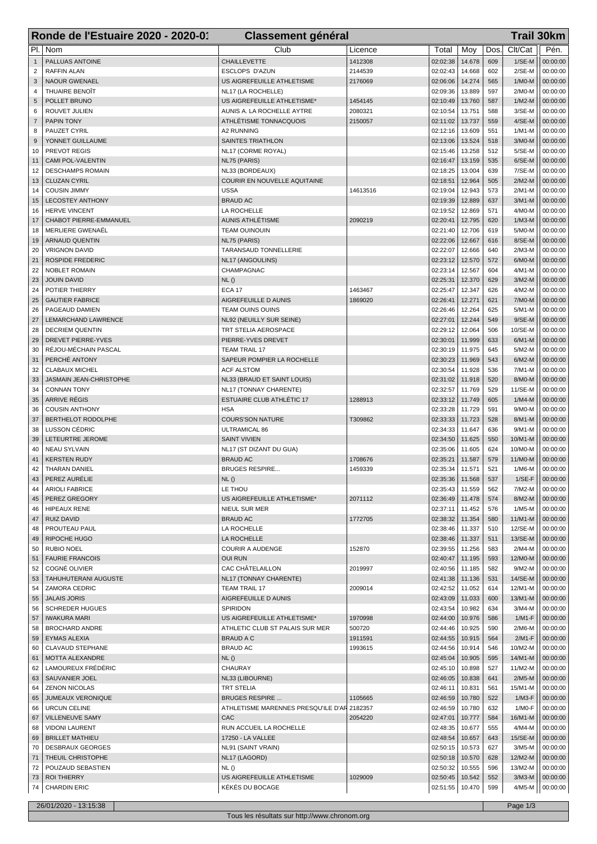|                | Ronde de l'Estuaire 2020 - 2020-01                   | <b>Classement général</b>                          |          |                      |                  | <b>Trail 30km</b> |                       |                      |  |
|----------------|------------------------------------------------------|----------------------------------------------------|----------|----------------------|------------------|-------------------|-----------------------|----------------------|--|
| PI.            | Nom                                                  | Club                                               | Licence  | Total                | Moy              | Dos.              | Clt/Cat               | Pén.                 |  |
| $\mathbf{1}$   | PALLUAS ANTOINE                                      | <b>CHAILLEVETTE</b>                                | 1412308  | 02:02:38             | 14.678           | 609               | $1/SE-M$              | 00:00:00             |  |
| $\overline{2}$ | <b>RAFFIN ALAN</b>                                   | <b>ESCLOPS D'AZUN</b>                              | 2144539  | 02:02:43             | 14.668           | 602               | $2/SE-M$              | 00:00:00             |  |
| 3              | <b>NAOUR GWENAEL</b>                                 | US AIGREFEUILLE ATHLETISME                         | 2176069  | 02:06:06             | 14.274           | 565               | $1/MO-M$              | 00:00:00             |  |
| 4              | THUAIRE BENOIT                                       | NL17 (LA ROCHELLE)                                 |          | 02:09:36             | 13.889           | 597               | $2/M0-M$              | 00:00:00             |  |
| 5              | POLLET BRUNO                                         | US AIGREFEUILLE ATHLETISME*                        | 1454145  | 02:10:49             | 13.760           | 587               | $1/M2-M$              | 00:00:00             |  |
| 6              | ROUVET JULIEN                                        | AUNIS A. LA ROCHELLE AYTRE                         | 2080321  | 02:10:54             | 13.751           | 588               | $3/SE-M$              | 00:00:00             |  |
| $\overline{7}$ | <b>PAPIN TONY</b>                                    | ATHLÉTISME TONNACQUOIS                             | 2150057  | 02:11:02             | 13.737           | 559               | $4/SE-M$              | 00:00:00             |  |
| 8<br>9         | PAUZET CYRIL<br>YONNET GUILLAUME                     | A2 RUNNING<br><b>SAINTES TRIATHLON</b>             |          | 02:12:16<br>02:13:06 | 13.609<br>13.524 | 551<br>518        | $1/M1-M$<br>$3/M0-M$  | 00:00:00<br>00:00:00 |  |
| 10             | PREVOT REGIS                                         | NL17 (CORME ROYAL)                                 |          | 02:15:46             | 13.258           | 512               | $5/SE-M$              | 00:00:00             |  |
| 11             | <b>CAMI POL-VALENTIN</b>                             | NL75 (PARIS)                                       |          | 02:16:47             | 13.159           | 535               | 6/SE-M                | 00:00:00             |  |
| 12             | <b>DESCHAMPS ROMAIN</b>                              | NL33 (BORDEAUX)                                    |          | 02:18:25             | 13.004           | 639               | 7/SE-M                | 00:00:00             |  |
| 13             | <b>CLUZAN CYRIL</b>                                  | COURIR EN NOUVELLE AQUITAINE                       |          | 02:18:51             | 12.964           | 505               | $2/M2-M$              | 00:00:00             |  |
| 14             | <b>COUSIN JIMMY</b>                                  | <b>USSA</b>                                        | 14613516 | 02:19:04             | 12.943           | 573               | $2/M1-M$              | 00:00:00             |  |
| 15             | <b>LECOSTEY ANTHONY</b>                              | <b>BRAUD AC</b>                                    |          | 02:19:39             | 12.889           | 637               | $3/M1-M$              | 00:00:00             |  |
| 16             | HERVE VINCENT                                        | LA ROCHELLE                                        |          | 02:19:52             | 12.869           | 571               | 4/M0-M                | 00:00:00             |  |
| 17<br>18       | CHABOT PIERRE-EMMANUEL<br>MERLIERE GWENAËL           | <b>AUNIS ATHLÉTISME</b><br><b>TEAM OUINOUIN</b>    | 2090219  | 02:20:41<br>02:21:40 | 12.795<br>12.706 | 620<br>619        | $1/M3-M$<br>5/M0-M    | 00:00:00<br>00:00:00 |  |
| 19             | <b>ARNAUD QUENTIN</b>                                | NL75 (PARIS)                                       |          | 02:22:06             | 12.667           | 616               | 8/SE-M                | 00:00:00             |  |
| 20             | <b>VRIGNON DAVID</b>                                 | TARANSAUD TONNELLERIE                              |          | 02:22:07             | 12.666           | 640               | $2/M3-M$              | 00:00:00             |  |
| 21             | <b>ROSPIDE FREDERIC</b>                              | NL17 (ANGOULINS)                                   |          | 02:23:12             | 12.570           | 572               | $6/M0-M$              | 00:00:00             |  |
| 22             | <b>NOBLET ROMAIN</b>                                 | CHAMPAGNAC                                         |          | 02:23:14             | 12.567           | 604               | $4/M1-M$              | 00:00:00             |  |
| 23             | <b>JOUIN DAVID</b>                                   | NL()                                               |          | 02:25:31             | 12.370           | 629               | $3/M2-M$              | 00:00:00             |  |
| 24             | POTIER THIERRY                                       | <b>ECA 17</b>                                      | 1463467  | 02:25:47             | 12.347           | 626               | 4/M2-M                | 00:00:00             |  |
| 25             | <b>GAUTIER FABRICE</b>                               | AIGREFEUILLE D AUNIS                               | 1869020  | 02:26:41             | 12.271           | 621               | $7/M0-M$              | 00:00:00             |  |
| 26             | PAGEAUD DAMIEN                                       | <b>TEAM OUINS OUINS</b>                            |          | 02:26:46             | 12.264           | 625               | $5/M1-M$              | 00:00:00             |  |
| 27<br>28       | <b>LEMARCHAND LAWRENCE</b><br><b>DECRIEM QUENTIN</b> | NL92 (NEUILLY SUR SEINE)<br>TRT STELIA AEROSPACE   |          | 02:27:01<br>02:29:12 | 12.244<br>12.064 | 549<br>506        | $9/SE-M$<br>10/SE-M   | 00:00:00<br>00:00:00 |  |
| 29             | <b>DREVET PIERRE-YVES</b>                            | PIERRE-YVES DREVET                                 |          | 02:30:01             | 11.999           | 633               | $6/M1-M$              | 00:00:00             |  |
| 30             | RÉJOU-MÉCHAIN PASCAL                                 | <b>TEAM TRAIL 17</b>                               |          | 02:30:19             | 11.975           | 645               | 5/M2-M                | 00:00:00             |  |
| 31             | PERCHÉ ANTONY                                        | SAPEUR POMPIER LA ROCHELLE                         |          | 02:30:23             | 11.969           | 543               | $6/M2-M$              | 00:00:00             |  |
| 32             | <b>CLABAUX MICHEL</b>                                | <b>ACF ALSTOM</b>                                  |          | 02:30:54             | 11.928           | 536               | $7/M1-M$              | 00:00:00             |  |
| 33             | JASMAIN JEAN-CHRISTOPHE                              | NL33 (BRAUD ET SAINT LOUIS)                        |          | 02:31:02             | 11.918           | 520               | 8/M0-M                | 00:00:00             |  |
| 34             | <b>CONNAN TONY</b>                                   | NL17 (TONNAY CHARENTE)                             |          | 02:32:57             | 11.769           | 529               | 11/SE-M               | 00:00:00             |  |
| 35             | <b>ARRIVE RÉGIS</b>                                  | <b>ESTUAIRE CLUB ATHLÉTIC 17</b>                   | 1288913  | 02:33:12             | 11.749           | 605               | $1/M4-M$              | 00:00:00             |  |
| 36             | <b>COUSIN ANTHONY</b><br>BERTHELOT RODOLPHE          | <b>HSA</b>                                         |          | 02:33:28             | 11.729           | 591               | 9/M0-M                | 00:00:00             |  |
| 37<br>38       | <b>LUSSON CÉDRIC</b>                                 | <b>COURS'SON NATURE</b><br><b>ULTRAMICAL 86</b>    | T309862  | 02:33:33<br>02:34:33 | 11.723<br>11.647 | 528<br>636        | 8/M1-M<br>$9/M1-M$    | 00:00:00<br>00:00:00 |  |
| 39             | LETEURTRE JEROME                                     | <b>SAINT VIVIEN</b>                                |          | 02:34:50             | 11.625           | 550               | 10/M1-M               | 00:00:00             |  |
| 40             | <b>NEAU SYLVAIN</b>                                  | NL17 (ST DIZANT DU GUA)                            |          | 02:35:06             | 11.605           | 624               | 10/M0-M               | 00:00:00             |  |
| 41             | <b>KERSTEN RUDY</b>                                  | <b>BRAUD AC</b>                                    | 1708676  | 02:35:21             | 11.587           | 579               | 11/M0-M               | 00:00:00             |  |
| 42             | <b>THARAN DANIEL</b>                                 | <b>BRUGES RESPIRE</b>                              | 1459339  | 02:35:34             | 11.571           | 521               | $1/M6-M$              | 00:00:00             |  |
| 43             | PEREZ AURÉLIE                                        | NL ()                                              |          | 02:35:36   11.568    |                  | 537               | $1/SE-F$              | 00:00:00             |  |
| 44             | <b>ARIOLI FABRICE</b>                                | LE THOU                                            |          | 02:35:43             | 11.559           | 562               | 7/M2-M                | 00:00:00             |  |
| 45             | PEREZ GREGORY                                        | US AIGREFEUILLE ATHLETISME*                        | 2071112  | 02:36:49             | 11.478           | 574               | 8/M2-M                | 00:00:00             |  |
| 46<br>47       | <b>HIPEAUX RENE</b><br>RUIZ DAVID                    | NIEUL SUR MER<br><b>BRAUD AC</b>                   | 1772705  | 02:37:11<br>02:38:32 | 11.452<br>11.354 | 576<br>580        | $1/M5-M$<br>$11/M1-M$ | 00:00:00<br>00:00:00 |  |
| 48             | PROUTEAU PAUL                                        | LA ROCHELLE                                        |          | 02:38:46             | 11.337           | 510               | 12/SE-M               | 00:00:00             |  |
| 49             | RIPOCHE HUGO                                         | LA ROCHELLE                                        |          | 02:38:46             | 11.337           | 511               | 13/SE-M               | 00:00:00             |  |
| 50             | <b>RUBIO NOEL</b>                                    | <b>COURIR A AUDENGE</b>                            | 152870   | 02:39:55             | 11.256           | 583               | $2/M4-M$              | 00:00:00             |  |
| 51             | <b>FAURIE FRANCOIS</b>                               | <b>OUI RUN</b>                                     |          | 02:40:47             | 11.195           | 593               | 12/M0-M               | 00:00:00             |  |
| 52             | COGNÉ OLIVIER                                        | CAC CHÂTELAILLON                                   | 2019997  | 02:40:56             | 11.185           | 582               | $9/M2-M$              | 00:00:00             |  |
| 53             | TAHUHUTERANI AUGUSTE                                 | NL17 (TONNAY CHARENTE)                             |          | 02:41:38             | 11.136           | 531               | 14/SE-M               | 00:00:00             |  |
| 54             | ZAMORA CEDRIC                                        | TEAM TRAIL 17                                      | 2009014  | 02:42:52             | 11.052           | 614               | 12/M1-M               | 00:00:00             |  |
| 55<br>56       | <b>JALAIS JORIS</b><br><b>SCHREDER HUGUES</b>        | AIGREFEUILLE D AUNIS<br>SPIRIDON                   |          | 02:43:09<br>02:43:54 | 11.033<br>10.982 | 600<br>634        | 13/M1-M<br>$3/M4-M$   | 00:00:00<br>00:00:00 |  |
| 57             | <b>IWAKURA MARI</b>                                  | US AIGREFEUILLE ATHLETISME*                        | 1970998  | 02:44:00             | 10.976           | 586               | $1/M1-F$              | 00:00:00             |  |
| 58             | <b>BROCHARD ANDRE</b>                                | ATHLETIC CLUB ST PALAIS SUR MER                    | 500720   | 02:44:46             | 10.925           | 590               | $2/M6-M$              | 00:00:00             |  |
| 59             | <b>EYMAS ALEXIA</b>                                  | <b>BRAUD A C</b>                                   | 1911591  | 02:44:55             | 10.915           | 564               | 2/M1-F                | 00:00:00             |  |
| 60             | CLAVAUD STEPHANE                                     | <b>BRAUD AC</b>                                    | 1993615  | 02:44:56             | 10.914           | 546               | 10/M2-M               | 00:00:00             |  |
| 61             | <b>MOTTA ALEXANDRE</b>                               | NL()                                               |          | 02:45:04             | 10.905           | 595               | 14/M1-M               | 00:00:00             |  |
| 62             | LAMOUREUX FRÉDÉRIC                                   | <b>CHAURAY</b>                                     |          | 02:45:10             | 10.898           | 527               | 11/M2-M               | 00:00:00             |  |
| 63             | SAUVANIER JOEL                                       | NL33 (LIBOURNE)                                    |          | 02:46:05             | 10.838           | 641               | $2/M5-M$              | 00:00:00             |  |
| 64             | <b>ZENON NICOLAS</b>                                 | <b>TRT STELIA</b>                                  |          | 02:46:11             | 10.831           | 561               | 15/M1-M               | 00:00:00             |  |
| 65             | JUMEAUX VERONIQUE                                    | <b>BRUGES RESPIRE </b>                             | 1105665  | 02:46:59             | 10.780           | 522<br>632        | $1/M3-F$<br>1/M0-F    | 00:00:00             |  |
| 66<br>67       | URCUN CELINE<br>VILLENEUVE SAMY                      | ATHLETISME MARENNES PRESQU'ILE D'AR 2182357<br>CAC | 2054220  | 02:46:59<br>02:47:01 | 10.780<br>10.777 | 584               | 16/M1-M               | 00:00:00<br>00:00:00 |  |
| 68             | <b>VIDONI LAURENT</b>                                | RUN ACCUEIL LA ROCHELLE                            |          | 02:48:35             | 10.677           | 555               | 4/M4-M                | 00:00:00             |  |
| 69             | <b>BRILLET MATHIEU</b>                               | 17250 - LA VALLEE                                  |          | 02:48:54             | 10.657           | 643               | 15/SE-M               | 00:00:00             |  |
| 70             | DESBRAUX GEORGES                                     | NL91 (SAINT VRAIN)                                 |          | 02:50:15             | 10.573           | 627               | $3/M5-M$              | 00:00:00             |  |
| 71             | THEUIL CHRISTOPHE                                    | NL17 (LAGORD)                                      |          | 02:50:18             | 10.570           | 628               | 12/M2-M               | 00:00:00             |  |
| 72             | POUZAUD SEBASTIEN                                    | NL()                                               |          | 02:50:32             | 10.555           | 596               | 13/M2-M               | 00:00:00             |  |
| 73             | <b>ROI THIERRY</b>                                   | US AIGREFEUILLE ATHLETISME                         | 1029009  | 02:50:45             | 10.542           | 552               | $3/M3-M$              | 00:00:00             |  |
| 74             | <b>CHARDIN ERIC</b>                                  | KÉKÉS DU BOCAGE                                    |          | 02:51:55             | 10.470           | 599               | 4/M5-M                | 00:00:00             |  |
|                | 26/01/2020 - 13:15:38                                |                                                    |          |                      |                  |                   | Page 1/3              |                      |  |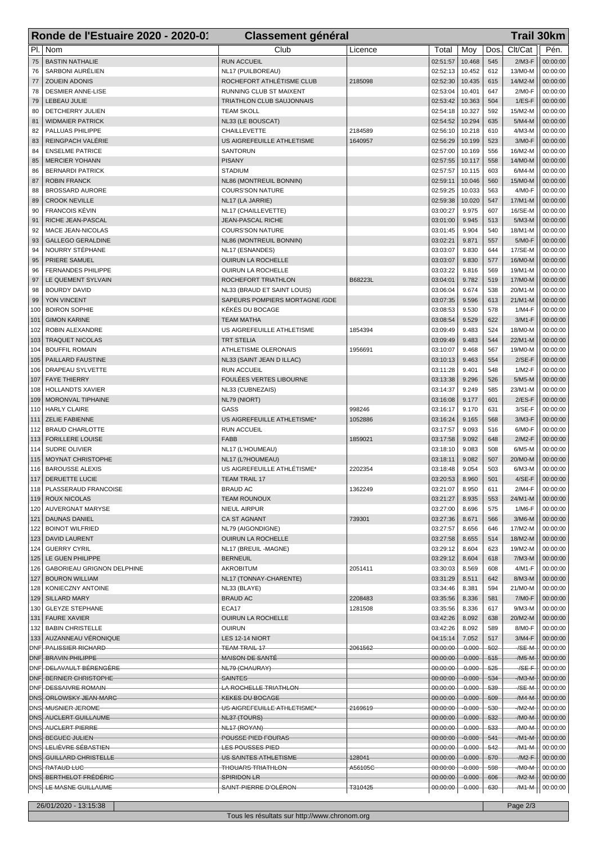| Clt/Cat<br>PI.<br>Nom<br>Club<br>Pén.<br>Moy<br>Dos.<br>Licence<br>Total<br><b>BASTIN NATHALIE</b><br><b>RUN ACCUEIL</b><br>02:51:57<br>10.468<br>545<br>$2/M3-F$<br>00:00:00<br>75<br>SARBONI AURÉLIEN<br>02:52:13<br>10.452<br>612<br>13/M0-M<br>00:00:00<br>76<br>NL17 (PUILBOREAU)<br>02:52:30<br>615<br><b>ZOUEIN ADONIS</b><br>ROCHEFORT ATHLÉTISME CLUB<br>10.435<br>14/M2-M<br>77<br>2185098<br>00:00:00<br><b>DESMIER ANNE-LISE</b><br>02:53:04<br>10.401<br>647<br>RUNNING CLUB ST MAIXENT<br>2/M0-F<br>00:00:00<br>78<br>02:53:42<br>79<br>LEBEAU JULIE<br>TRIATHLON CLUB SAUJONNAIS<br>10.363<br>504<br>$1/ES-F$<br>00:00:00<br>15/M2-M<br>DETCHERRY JULIEN<br><b>TEAM SKOLL</b><br>02:54:18<br>10.327<br>592<br>00:00:00<br>80<br>02:54:52<br>10.294<br><b>WIDMAIER PATRICK</b><br>NL33 (LE BOUSCAT)<br>635<br>$5/M4-M$<br>00:00:00<br>81<br>PALLUAS PHILIPPE<br>02:56:10<br>10.218<br>82<br><b>CHAILLEVETTE</b><br>2184589<br>610<br>4/M3-M<br>00:00:00<br>REINGPACH VALÉRIE<br>02:56:29<br>523<br>3/M0-F<br>US AIGREFEUILLE ATHLETISME<br>1640957<br>10.199<br>83<br>00:00:00<br>84<br><b>ENSELME PATRICE</b><br><b>SANTORUN</b><br>02:57:00<br>10.169<br>556<br>16/M2-M<br>00:00:00<br><b>MERCIER YOHANN</b><br><b>PISANY</b><br>02:57:55<br>10.117<br>14/M0-M<br>00:00:00<br>85<br>558<br>02:57:57<br>603<br>$6/M4-M$<br><b>BERNARDI PATRICK</b><br><b>STADIUM</b><br>10.115<br>00:00:00<br>86<br>10.046<br><b>ROBIN FRANCK</b><br>NL86 (MONTREUIL BONNIN)<br>02:59:11<br>560<br>15/M0-M<br>00:00:00<br>87<br>02:59:25<br>10.033<br>563<br><b>BROSSARD AURORE</b><br><b>COURS'SON NATURE</b><br>4/M0-F<br>00:00:00<br>88<br><b>CROOK NEVILLE</b><br>02:59:38<br>10.020<br>547<br>NL17 (LA JARRIE)<br>17/M1-M<br>00:00:00<br>89<br><b>FRANCOIS KÉVIN</b><br>NL17 (CHAILLEVETTE)<br>03:00:27<br>9.975<br>607<br>16/SE-M<br>00:00:00<br>90<br>03:01:00<br>RICHE JEAN-PASCAL<br>JEAN-PASCAL RICHE<br>9.945<br>513<br>$5/M3-M$<br>91<br>00:00:00<br>03:01:45<br>9.904<br>540<br>MACE JEAN-NICOLAS<br><b>COURS'SON NATURE</b><br>18/M1-M<br>00:00:00<br>92<br><b>GALLEGO GERALDINE</b><br>NL86 (MONTREUIL BONNIN)<br>03:02:21<br>9.871<br>5/M0-F<br>00:00:00<br>93<br>557<br>NOURRY STÉPHANE<br>03:03:07<br>9.830<br>17/SE-M<br>94<br>NL17 (ESNANDES)<br>644<br>00:00:00<br>03:03:07<br>PRIERE SAMUEL<br>OUIRUN LA ROCHELLE<br>9.830<br>577<br>16/M0-M<br>00:00:00<br>95<br>03:03:22<br>9.816<br>19/M1-M<br><b>FERNANDES PHILIPPE</b><br><b>OUIRUN LA ROCHELLE</b><br>569<br>00:00:00<br>96<br>03:04:01<br>9.782<br>LE QUEMENT SYLVAIN<br>ROCHEFORT TRIATHLON<br>B68223L<br>519<br>17/M0-M<br>00:00:00<br>97<br>03:06:04<br>9.674<br>538<br><b>BOURDY DAVID</b><br>20/M1-M<br>00:00:00<br>98<br>NL33 (BRAUD ET SAINT LOUIS)<br>9.596<br>YON VINCENT<br>SAPEURS POMPIERS MORTAGNE / GDE<br>03:07:35<br>613<br>$21/M1-M$<br>99<br>00:00:00<br>KÉKÉS DU BOCAGE<br>03:08:53<br>9.530<br>578<br><b>BOIRON SOPHIE</b><br>1/M4-F<br>00:00:00<br>100<br>03:08:54<br><b>GIMON KARINE</b><br><b>TEAM MATHA</b><br>9.529<br>622<br>3/M1-F<br>00:00:00<br>101<br>03:09:49<br>9.483<br>18/M0-M<br>102<br>ROBIN ALEXANDRE<br>US AIGREFEUILLE ATHLETISME<br>1854394<br>524<br>00:00:00<br>03:09:49<br><b>TRAQUET NICOLAS</b><br>9.483<br>544<br>22/M1-M<br>103<br>TRT STELIA<br>00:00:00<br>03:10:07<br>9.468<br>567<br><b>BOUFFIL ROMAIN</b><br>ATHLETISME OLERONAIS<br>1956691<br>19/M0-M<br>00:00:00<br>104<br>PAILLARD FAUSTINE<br>NL33 (SAINT JEAN D ILLAC)<br>03:10:13<br>9.463<br>$2/SE-F$<br>00:00:00<br>105<br>554<br>DRAPEAU SYLVETTE<br><b>RUN ACCUEIL</b><br>03:11:28<br>9.401<br>548<br>$1/M2-F$<br>00:00:00<br>106<br>FOULÉES VERTES LIBOURNE<br>9.296<br><b>FAYE THIERRY</b><br>03:13:38<br>526<br>$5/M5-M$<br>00:00:00<br>107<br>03:14:37<br>9.249<br>108<br><b>HOLLANDTS XAVIER</b><br>NL33 (CUBNEZAIS)<br>585<br>23/M1-M<br>00:00:00<br>$2/ES-F$<br>MORONVAL TIPHAINE<br>NL79 (NIORT)<br>03:16:08<br>9.177<br>601<br>109<br>00:00:00<br>GASS<br>998246<br>03:16:17<br>9.170<br><b>HARLY CLAIRE</b><br>631<br>3/SE-F<br>00:00:00<br>110<br><b>ZELIE FABIENNE</b><br>US AIGREFEUILLE ATHLETISME*<br>1052886<br>03:16:24<br>9.165<br>3/M3-F<br>00:00:00<br>111<br>568<br><b>RUN ACCUEIL</b><br>03:17:57<br>9.093<br><b>BRAUD CHARLOTTE</b><br>516<br>6/M0-F<br>00:00:00<br>112<br><b>FORILLERE LOUISE</b><br><b>FABB</b><br>1859021<br>03:17:58<br>9.092<br>648<br>$2/M2-F$<br>00:00:00<br>113<br><b>SUDRE OLIVIER</b><br>NL17 (L'HOUMEAU)<br>03:18:10<br>9.083<br>508<br>$6/M5-M$<br>00:00:00<br>114<br>9.082<br>MOYNAT CHRISTOPHE<br>NL17 (L?HOUMEAU)<br>03:18:11<br>507<br>20/M0-M<br>00:00:00<br>115<br><b>BAROUSSE ALEXIS</b><br>US AIGREFEUILLE ATHLÉTISME*<br>2202354<br>03:18:48<br>9.054<br>503<br>$6/M3-M$<br>00:00:00<br>116<br>DERUETTE LUCIE<br>TEAM TRAIL 17<br>117<br>03:20:53<br>8.960<br>501<br>$4/SE-F$<br>00:00:00<br>118   PLASSERAUD FRANCOISE<br><b>BRAUD AC</b><br>1362249<br>03:21:07<br>8.950<br>2/M4-F<br>00:00:00<br>611<br><b>ROUX NICOLAS</b><br>03:21:27<br>8.935<br>00:00:00<br>119<br><b>TEAM ROUNOUX</b><br>553<br>24/M1-M<br>03:27:00<br>120   AUVERGNAT MARYSE<br>NIEUL AIRPUR<br>8.696<br>575<br>1/M6-F<br>00:00:00<br>121   DAUNAS DANIEL<br>CA ST AGNANT<br>739301<br>03:27:36<br>8.671<br>566<br>$3/M6-M$<br>00:00:00<br>03:27:57<br><b>BOINOT WILFRIED</b><br>NL79 (AIGONDIGNE)<br>8.656<br>17/M2-M<br>00:00:00<br>122<br>646<br><b>DAVID LAURENT</b><br><b>OUIRUN LA ROCHELLE</b><br>03:27:58<br>8.655<br>514<br>18/M2-M<br>00:00:00<br>123<br>03:29:12<br>124   GUERRY CYRIL<br>NL17 (BREUIL-MAGNE)<br>8.604<br>623<br>19/M2-M<br>00:00:00<br>LE GUEN PHILIPPE<br><b>BERNEUIL</b><br>03:29:12<br>8.604<br>125<br>618<br>$7/M3-M$<br>00:00:00<br>03:30:03<br>126   GABORIEAU GRIGNON DELPHINE<br><b>AKROBITUM</b><br>2051411<br>8.569<br>608<br>4/M1-F<br>00:00:00<br>03:31:29<br>127   BOURON WILLIAM<br>NL17 (TONNAY-CHARENTE)<br>8.511<br>642<br>8/M3-M<br>00:00:00<br>03:34:46<br>128<br>KONIECZNY ANTOINE<br>NL33 (BLAYE)<br>8.381<br>594<br>21/M0-M<br>00:00:00<br>129   SILLARD MARY<br><b>BRAUD AC</b><br>2208483<br>03:35:56<br>8.336<br>581<br>7/M0-F<br>00:00:00<br>ECA17<br>1281508<br>03:35:56<br><b>GLEYZE STEPHANE</b><br>8.336<br>$9/M3-M$<br>00:00:00<br>130<br>617<br>131   FAURE XAVIER<br>OUIRUN LA ROCHELLE<br>03:42:26<br>8.092<br>20/M2-M<br>00:00:00<br>638<br>03:42:26<br>8/M0-F<br>132   BABIN CHRISTELLE<br><b>OUIRUN</b><br>8.092<br>589<br>00:00:00<br>133 AUZANNEAU VÉRONIQUE<br>LES 12-14 NIORT<br>04:15:14<br>7.052<br>517<br>3/M4-F<br>00:00:00<br>00:00:00<br>$-0.000$<br>/SE-M<br>DNF <b>PALISSIER RICHARD</b><br><b>TEAM TRAIL 17</b><br>2061562<br>$-502$<br>00:00:00<br>00:00:00<br>DNF BRAVIN PHILIPPE<br><b>MAISON DE SANTÉ</b><br>$-0.000$<br>$515 -$<br>$-M5-M$<br>00:00:00<br>00:00:00<br>$-0.000$<br>00:00:00<br>DNF DELAVAULT BÉRENGÈRE<br>NL79 (CHAURAY)<br>525<br>$-$ /SE-F<br>DNF BERNIER CHRISTOPHE<br>00:00:00<br>$-0.000$<br><b>SAINTES</b><br>534<br>/М3-М<br>00:00:00<br>00:00:00<br>$-0.000$<br>539<br>$-$ /SE-M<br>DNF DESSAIVRE ROMAIN<br>LA ROCHELLE TRIATHLON<br>00:00:00<br>DNS ORLOWSKY JEAN MARC<br><b>KEKES DU BOCAGE</b><br>00:00:00<br>$-0.000$<br>509<br>$/M4-M$<br>00:00:00<br>$-0.000$<br>DNS MUSNIER JEROME<br>US AIGREFEUILLE ATHLETISME*<br>00:00:00<br>530<br>$-M2-M$<br>00:00:00<br>2169619<br>00:00:00<br>532<br>DNS AUCLERT GUILLAUME<br>$-0.000$<br>$-M0$<br>00:00:00<br>NL37 (TOURS)<br>00:00:00<br>DNS AUCLERT PIERRE<br>NL <sub>17</sub> (ROYAN)<br>$-0.000$<br>533<br>$-M0$<br>00:00:00<br>00:00:00<br>DNS BEGUEC JULIEN<br>POUSSE PIED FOURAS<br>$-0.000$<br>541<br>/M1-M<br>00:00:00<br>DNS <del>  LELIÈVRE SÉBASTIEN</del><br>00:00:00<br>$-0.000$<br>542<br>LES POUSSES PIED<br>-/M1-M<br>00:00:00<br>DNS GUILLARD CHRISTELLE<br>128041<br>00:00:00<br>$-0.000$<br>00:00:00<br>US SAINTES ATHLETISME<br>570<br>$/M2 - F$<br>00:00:00<br>$-0.000$<br>598<br>$-M0$<br>DNS RATAUD LUC<br><b>THOUARS TRIATHLON-</b><br>A56105C<br>00:00:00<br>DNS BERTHELOT FRÉDÉRIC<br>SPIRIDON LR<br>00:00:00<br>$-0.000$<br>606<br>$-M2-M$<br>00:00:00<br>SAINT-PIERRE D'OLÉRON-<br>T310425<br>DNS LE MASNE GUILLAUME<br>$-00:00:00$<br>$-0.000 -$<br>/M1-M<br>$+ 00:00:00$<br>$-630-$<br>26/01/2020 - 13:15:38<br>Page 2/3 | Ronde de l'Estuaire 2020 - 2020-01 | <b>Classement général</b> |  |  |  |  | <b>Trail 30km</b> |  |
|---------------------------------------------------------------------------------------------------------------------------------------------------------------------------------------------------------------------------------------------------------------------------------------------------------------------------------------------------------------------------------------------------------------------------------------------------------------------------------------------------------------------------------------------------------------------------------------------------------------------------------------------------------------------------------------------------------------------------------------------------------------------------------------------------------------------------------------------------------------------------------------------------------------------------------------------------------------------------------------------------------------------------------------------------------------------------------------------------------------------------------------------------------------------------------------------------------------------------------------------------------------------------------------------------------------------------------------------------------------------------------------------------------------------------------------------------------------------------------------------------------------------------------------------------------------------------------------------------------------------------------------------------------------------------------------------------------------------------------------------------------------------------------------------------------------------------------------------------------------------------------------------------------------------------------------------------------------------------------------------------------------------------------------------------------------------------------------------------------------------------------------------------------------------------------------------------------------------------------------------------------------------------------------------------------------------------------------------------------------------------------------------------------------------------------------------------------------------------------------------------------------------------------------------------------------------------------------------------------------------------------------------------------------------------------------------------------------------------------------------------------------------------------------------------------------------------------------------------------------------------------------------------------------------------------------------------------------------------------------------------------------------------------------------------------------------------------------------------------------------------------------------------------------------------------------------------------------------------------------------------------------------------------------------------------------------------------------------------------------------------------------------------------------------------------------------------------------------------------------------------------------------------------------------------------------------------------------------------------------------------------------------------------------------------------------------------------------------------------------------------------------------------------------------------------------------------------------------------------------------------------------------------------------------------------------------------------------------------------------------------------------------------------------------------------------------------------------------------------------------------------------------------------------------------------------------------------------------------------------------------------------------------------------------------------------------------------------------------------------------------------------------------------------------------------------------------------------------------------------------------------------------------------------------------------------------------------------------------------------------------------------------------------------------------------------------------------------------------------------------------------------------------------------------------------------------------------------------------------------------------------------------------------------------------------------------------------------------------------------------------------------------------------------------------------------------------------------------------------------------------------------------------------------------------------------------------------------------------------------------------------------------------------------------------------------------------------------------------------------------------------------------------------------------------------------------------------------------------------------------------------------------------------------------------------------------------------------------------------------------------------------------------------------------------------------------------------------------------------------------------------------------------------------------------------------------------------------------------------------------------------------------------------------------------------------------------------------------------------------------------------------------------------------------------------------------------------------------------------------------------------------------------------------------------------------------------------------------------------------------------------------------------------------------------------------------------------------------------------------------------------------------------------------------------------------------------------------------------------------------------------------------------------------------------------------------------------------------------------------------------------------------------------------------------------------------------------------------------------------------------------------------------------------------------------------------------------------------------------------------------------------------------------------------------------------------------------------------------------------------------------------------------------------------------------------------------------------------------------------------------------------------------------------------------------------------------------------------------------------------------------------------------------------------------------------------------------------------------------------------------------------------------------------------------------------------------------------------------------------------------------------------------------------------------------------------------------------------------------------------------------------------------------------------------------------------------------------------------------------------------------------------------------------------------------------------------------------------------------------------------------------------------------------------------------------------------------------------------------------------------------------------------------------------------------------------------------------------------------------------------------------------------------------------------------------------------------------------------------------------------|------------------------------------|---------------------------|--|--|--|--|-------------------|--|
|                                                                                                                                                                                                                                                                                                                                                                                                                                                                                                                                                                                                                                                                                                                                                                                                                                                                                                                                                                                                                                                                                                                                                                                                                                                                                                                                                                                                                                                                                                                                                                                                                                                                                                                                                                                                                                                                                                                                                                                                                                                                                                                                                                                                                                                                                                                                                                                                                                                                                                                                                                                                                                                                                                                                                                                                                                                                                                                                                                                                                                                                                                                                                                                                                                                                                                                                                                                                                                                                                                                                                                                                                                                                                                                                                                                                                                                                                                                                                                                                                                                                                                                                                                                                                                                                                                                                                                                                                                                                                                                                                                                                                                                                                                                                                                                                                                                                                                                                                                                                                                                                                                                                                                                                                                                                                                                                                                                                                                                                                                                                                                                                                                                                                                                                                                                                                                                                                                                                                                                                                                                                                                                                                                                                                                                                                                                                                                                                                                                                                                                                                                                                                                                                                                                                                                                                                                                                                                                                                                                                                                                                                                                                                                                                                                                                                                                                                                                                                                                                                                                                                                                                                                                                                                                                                                                                                                                                                                                                                                                                                                                                                                                                                                                                                                                   |                                    |                           |  |  |  |  |                   |  |
|                                                                                                                                                                                                                                                                                                                                                                                                                                                                                                                                                                                                                                                                                                                                                                                                                                                                                                                                                                                                                                                                                                                                                                                                                                                                                                                                                                                                                                                                                                                                                                                                                                                                                                                                                                                                                                                                                                                                                                                                                                                                                                                                                                                                                                                                                                                                                                                                                                                                                                                                                                                                                                                                                                                                                                                                                                                                                                                                                                                                                                                                                                                                                                                                                                                                                                                                                                                                                                                                                                                                                                                                                                                                                                                                                                                                                                                                                                                                                                                                                                                                                                                                                                                                                                                                                                                                                                                                                                                                                                                                                                                                                                                                                                                                                                                                                                                                                                                                                                                                                                                                                                                                                                                                                                                                                                                                                                                                                                                                                                                                                                                                                                                                                                                                                                                                                                                                                                                                                                                                                                                                                                                                                                                                                                                                                                                                                                                                                                                                                                                                                                                                                                                                                                                                                                                                                                                                                                                                                                                                                                                                                                                                                                                                                                                                                                                                                                                                                                                                                                                                                                                                                                                                                                                                                                                                                                                                                                                                                                                                                                                                                                                                                                                                                                                   |                                    |                           |  |  |  |  |                   |  |
|                                                                                                                                                                                                                                                                                                                                                                                                                                                                                                                                                                                                                                                                                                                                                                                                                                                                                                                                                                                                                                                                                                                                                                                                                                                                                                                                                                                                                                                                                                                                                                                                                                                                                                                                                                                                                                                                                                                                                                                                                                                                                                                                                                                                                                                                                                                                                                                                                                                                                                                                                                                                                                                                                                                                                                                                                                                                                                                                                                                                                                                                                                                                                                                                                                                                                                                                                                                                                                                                                                                                                                                                                                                                                                                                                                                                                                                                                                                                                                                                                                                                                                                                                                                                                                                                                                                                                                                                                                                                                                                                                                                                                                                                                                                                                                                                                                                                                                                                                                                                                                                                                                                                                                                                                                                                                                                                                                                                                                                                                                                                                                                                                                                                                                                                                                                                                                                                                                                                                                                                                                                                                                                                                                                                                                                                                                                                                                                                                                                                                                                                                                                                                                                                                                                                                                                                                                                                                                                                                                                                                                                                                                                                                                                                                                                                                                                                                                                                                                                                                                                                                                                                                                                                                                                                                                                                                                                                                                                                                                                                                                                                                                                                                                                                                                                   |                                    |                           |  |  |  |  |                   |  |
|                                                                                                                                                                                                                                                                                                                                                                                                                                                                                                                                                                                                                                                                                                                                                                                                                                                                                                                                                                                                                                                                                                                                                                                                                                                                                                                                                                                                                                                                                                                                                                                                                                                                                                                                                                                                                                                                                                                                                                                                                                                                                                                                                                                                                                                                                                                                                                                                                                                                                                                                                                                                                                                                                                                                                                                                                                                                                                                                                                                                                                                                                                                                                                                                                                                                                                                                                                                                                                                                                                                                                                                                                                                                                                                                                                                                                                                                                                                                                                                                                                                                                                                                                                                                                                                                                                                                                                                                                                                                                                                                                                                                                                                                                                                                                                                                                                                                                                                                                                                                                                                                                                                                                                                                                                                                                                                                                                                                                                                                                                                                                                                                                                                                                                                                                                                                                                                                                                                                                                                                                                                                                                                                                                                                                                                                                                                                                                                                                                                                                                                                                                                                                                                                                                                                                                                                                                                                                                                                                                                                                                                                                                                                                                                                                                                                                                                                                                                                                                                                                                                                                                                                                                                                                                                                                                                                                                                                                                                                                                                                                                                                                                                                                                                                                                                   |                                    |                           |  |  |  |  |                   |  |
|                                                                                                                                                                                                                                                                                                                                                                                                                                                                                                                                                                                                                                                                                                                                                                                                                                                                                                                                                                                                                                                                                                                                                                                                                                                                                                                                                                                                                                                                                                                                                                                                                                                                                                                                                                                                                                                                                                                                                                                                                                                                                                                                                                                                                                                                                                                                                                                                                                                                                                                                                                                                                                                                                                                                                                                                                                                                                                                                                                                                                                                                                                                                                                                                                                                                                                                                                                                                                                                                                                                                                                                                                                                                                                                                                                                                                                                                                                                                                                                                                                                                                                                                                                                                                                                                                                                                                                                                                                                                                                                                                                                                                                                                                                                                                                                                                                                                                                                                                                                                                                                                                                                                                                                                                                                                                                                                                                                                                                                                                                                                                                                                                                                                                                                                                                                                                                                                                                                                                                                                                                                                                                                                                                                                                                                                                                                                                                                                                                                                                                                                                                                                                                                                                                                                                                                                                                                                                                                                                                                                                                                                                                                                                                                                                                                                                                                                                                                                                                                                                                                                                                                                                                                                                                                                                                                                                                                                                                                                                                                                                                                                                                                                                                                                                                                   |                                    |                           |  |  |  |  |                   |  |
|                                                                                                                                                                                                                                                                                                                                                                                                                                                                                                                                                                                                                                                                                                                                                                                                                                                                                                                                                                                                                                                                                                                                                                                                                                                                                                                                                                                                                                                                                                                                                                                                                                                                                                                                                                                                                                                                                                                                                                                                                                                                                                                                                                                                                                                                                                                                                                                                                                                                                                                                                                                                                                                                                                                                                                                                                                                                                                                                                                                                                                                                                                                                                                                                                                                                                                                                                                                                                                                                                                                                                                                                                                                                                                                                                                                                                                                                                                                                                                                                                                                                                                                                                                                                                                                                                                                                                                                                                                                                                                                                                                                                                                                                                                                                                                                                                                                                                                                                                                                                                                                                                                                                                                                                                                                                                                                                                                                                                                                                                                                                                                                                                                                                                                                                                                                                                                                                                                                                                                                                                                                                                                                                                                                                                                                                                                                                                                                                                                                                                                                                                                                                                                                                                                                                                                                                                                                                                                                                                                                                                                                                                                                                                                                                                                                                                                                                                                                                                                                                                                                                                                                                                                                                                                                                                                                                                                                                                                                                                                                                                                                                                                                                                                                                                                                   |                                    |                           |  |  |  |  |                   |  |
|                                                                                                                                                                                                                                                                                                                                                                                                                                                                                                                                                                                                                                                                                                                                                                                                                                                                                                                                                                                                                                                                                                                                                                                                                                                                                                                                                                                                                                                                                                                                                                                                                                                                                                                                                                                                                                                                                                                                                                                                                                                                                                                                                                                                                                                                                                                                                                                                                                                                                                                                                                                                                                                                                                                                                                                                                                                                                                                                                                                                                                                                                                                                                                                                                                                                                                                                                                                                                                                                                                                                                                                                                                                                                                                                                                                                                                                                                                                                                                                                                                                                                                                                                                                                                                                                                                                                                                                                                                                                                                                                                                                                                                                                                                                                                                                                                                                                                                                                                                                                                                                                                                                                                                                                                                                                                                                                                                                                                                                                                                                                                                                                                                                                                                                                                                                                                                                                                                                                                                                                                                                                                                                                                                                                                                                                                                                                                                                                                                                                                                                                                                                                                                                                                                                                                                                                                                                                                                                                                                                                                                                                                                                                                                                                                                                                                                                                                                                                                                                                                                                                                                                                                                                                                                                                                                                                                                                                                                                                                                                                                                                                                                                                                                                                                                                   |                                    |                           |  |  |  |  |                   |  |
|                                                                                                                                                                                                                                                                                                                                                                                                                                                                                                                                                                                                                                                                                                                                                                                                                                                                                                                                                                                                                                                                                                                                                                                                                                                                                                                                                                                                                                                                                                                                                                                                                                                                                                                                                                                                                                                                                                                                                                                                                                                                                                                                                                                                                                                                                                                                                                                                                                                                                                                                                                                                                                                                                                                                                                                                                                                                                                                                                                                                                                                                                                                                                                                                                                                                                                                                                                                                                                                                                                                                                                                                                                                                                                                                                                                                                                                                                                                                                                                                                                                                                                                                                                                                                                                                                                                                                                                                                                                                                                                                                                                                                                                                                                                                                                                                                                                                                                                                                                                                                                                                                                                                                                                                                                                                                                                                                                                                                                                                                                                                                                                                                                                                                                                                                                                                                                                                                                                                                                                                                                                                                                                                                                                                                                                                                                                                                                                                                                                                                                                                                                                                                                                                                                                                                                                                                                                                                                                                                                                                                                                                                                                                                                                                                                                                                                                                                                                                                                                                                                                                                                                                                                                                                                                                                                                                                                                                                                                                                                                                                                                                                                                                                                                                                                                   |                                    |                           |  |  |  |  |                   |  |
|                                                                                                                                                                                                                                                                                                                                                                                                                                                                                                                                                                                                                                                                                                                                                                                                                                                                                                                                                                                                                                                                                                                                                                                                                                                                                                                                                                                                                                                                                                                                                                                                                                                                                                                                                                                                                                                                                                                                                                                                                                                                                                                                                                                                                                                                                                                                                                                                                                                                                                                                                                                                                                                                                                                                                                                                                                                                                                                                                                                                                                                                                                                                                                                                                                                                                                                                                                                                                                                                                                                                                                                                                                                                                                                                                                                                                                                                                                                                                                                                                                                                                                                                                                                                                                                                                                                                                                                                                                                                                                                                                                                                                                                                                                                                                                                                                                                                                                                                                                                                                                                                                                                                                                                                                                                                                                                                                                                                                                                                                                                                                                                                                                                                                                                                                                                                                                                                                                                                                                                                                                                                                                                                                                                                                                                                                                                                                                                                                                                                                                                                                                                                                                                                                                                                                                                                                                                                                                                                                                                                                                                                                                                                                                                                                                                                                                                                                                                                                                                                                                                                                                                                                                                                                                                                                                                                                                                                                                                                                                                                                                                                                                                                                                                                                                                   |                                    |                           |  |  |  |  |                   |  |
|                                                                                                                                                                                                                                                                                                                                                                                                                                                                                                                                                                                                                                                                                                                                                                                                                                                                                                                                                                                                                                                                                                                                                                                                                                                                                                                                                                                                                                                                                                                                                                                                                                                                                                                                                                                                                                                                                                                                                                                                                                                                                                                                                                                                                                                                                                                                                                                                                                                                                                                                                                                                                                                                                                                                                                                                                                                                                                                                                                                                                                                                                                                                                                                                                                                                                                                                                                                                                                                                                                                                                                                                                                                                                                                                                                                                                                                                                                                                                                                                                                                                                                                                                                                                                                                                                                                                                                                                                                                                                                                                                                                                                                                                                                                                                                                                                                                                                                                                                                                                                                                                                                                                                                                                                                                                                                                                                                                                                                                                                                                                                                                                                                                                                                                                                                                                                                                                                                                                                                                                                                                                                                                                                                                                                                                                                                                                                                                                                                                                                                                                                                                                                                                                                                                                                                                                                                                                                                                                                                                                                                                                                                                                                                                                                                                                                                                                                                                                                                                                                                                                                                                                                                                                                                                                                                                                                                                                                                                                                                                                                                                                                                                                                                                                                                                   |                                    |                           |  |  |  |  |                   |  |
|                                                                                                                                                                                                                                                                                                                                                                                                                                                                                                                                                                                                                                                                                                                                                                                                                                                                                                                                                                                                                                                                                                                                                                                                                                                                                                                                                                                                                                                                                                                                                                                                                                                                                                                                                                                                                                                                                                                                                                                                                                                                                                                                                                                                                                                                                                                                                                                                                                                                                                                                                                                                                                                                                                                                                                                                                                                                                                                                                                                                                                                                                                                                                                                                                                                                                                                                                                                                                                                                                                                                                                                                                                                                                                                                                                                                                                                                                                                                                                                                                                                                                                                                                                                                                                                                                                                                                                                                                                                                                                                                                                                                                                                                                                                                                                                                                                                                                                                                                                                                                                                                                                                                                                                                                                                                                                                                                                                                                                                                                                                                                                                                                                                                                                                                                                                                                                                                                                                                                                                                                                                                                                                                                                                                                                                                                                                                                                                                                                                                                                                                                                                                                                                                                                                                                                                                                                                                                                                                                                                                                                                                                                                                                                                                                                                                                                                                                                                                                                                                                                                                                                                                                                                                                                                                                                                                                                                                                                                                                                                                                                                                                                                                                                                                                                                   |                                    |                           |  |  |  |  |                   |  |
|                                                                                                                                                                                                                                                                                                                                                                                                                                                                                                                                                                                                                                                                                                                                                                                                                                                                                                                                                                                                                                                                                                                                                                                                                                                                                                                                                                                                                                                                                                                                                                                                                                                                                                                                                                                                                                                                                                                                                                                                                                                                                                                                                                                                                                                                                                                                                                                                                                                                                                                                                                                                                                                                                                                                                                                                                                                                                                                                                                                                                                                                                                                                                                                                                                                                                                                                                                                                                                                                                                                                                                                                                                                                                                                                                                                                                                                                                                                                                                                                                                                                                                                                                                                                                                                                                                                                                                                                                                                                                                                                                                                                                                                                                                                                                                                                                                                                                                                                                                                                                                                                                                                                                                                                                                                                                                                                                                                                                                                                                                                                                                                                                                                                                                                                                                                                                                                                                                                                                                                                                                                                                                                                                                                                                                                                                                                                                                                                                                                                                                                                                                                                                                                                                                                                                                                                                                                                                                                                                                                                                                                                                                                                                                                                                                                                                                                                                                                                                                                                                                                                                                                                                                                                                                                                                                                                                                                                                                                                                                                                                                                                                                                                                                                                                                                   |                                    |                           |  |  |  |  |                   |  |
|                                                                                                                                                                                                                                                                                                                                                                                                                                                                                                                                                                                                                                                                                                                                                                                                                                                                                                                                                                                                                                                                                                                                                                                                                                                                                                                                                                                                                                                                                                                                                                                                                                                                                                                                                                                                                                                                                                                                                                                                                                                                                                                                                                                                                                                                                                                                                                                                                                                                                                                                                                                                                                                                                                                                                                                                                                                                                                                                                                                                                                                                                                                                                                                                                                                                                                                                                                                                                                                                                                                                                                                                                                                                                                                                                                                                                                                                                                                                                                                                                                                                                                                                                                                                                                                                                                                                                                                                                                                                                                                                                                                                                                                                                                                                                                                                                                                                                                                                                                                                                                                                                                                                                                                                                                                                                                                                                                                                                                                                                                                                                                                                                                                                                                                                                                                                                                                                                                                                                                                                                                                                                                                                                                                                                                                                                                                                                                                                                                                                                                                                                                                                                                                                                                                                                                                                                                                                                                                                                                                                                                                                                                                                                                                                                                                                                                                                                                                                                                                                                                                                                                                                                                                                                                                                                                                                                                                                                                                                                                                                                                                                                                                                                                                                                                                   |                                    |                           |  |  |  |  |                   |  |
|                                                                                                                                                                                                                                                                                                                                                                                                                                                                                                                                                                                                                                                                                                                                                                                                                                                                                                                                                                                                                                                                                                                                                                                                                                                                                                                                                                                                                                                                                                                                                                                                                                                                                                                                                                                                                                                                                                                                                                                                                                                                                                                                                                                                                                                                                                                                                                                                                                                                                                                                                                                                                                                                                                                                                                                                                                                                                                                                                                                                                                                                                                                                                                                                                                                                                                                                                                                                                                                                                                                                                                                                                                                                                                                                                                                                                                                                                                                                                                                                                                                                                                                                                                                                                                                                                                                                                                                                                                                                                                                                                                                                                                                                                                                                                                                                                                                                                                                                                                                                                                                                                                                                                                                                                                                                                                                                                                                                                                                                                                                                                                                                                                                                                                                                                                                                                                                                                                                                                                                                                                                                                                                                                                                                                                                                                                                                                                                                                                                                                                                                                                                                                                                                                                                                                                                                                                                                                                                                                                                                                                                                                                                                                                                                                                                                                                                                                                                                                                                                                                                                                                                                                                                                                                                                                                                                                                                                                                                                                                                                                                                                                                                                                                                                                                                   |                                    |                           |  |  |  |  |                   |  |
|                                                                                                                                                                                                                                                                                                                                                                                                                                                                                                                                                                                                                                                                                                                                                                                                                                                                                                                                                                                                                                                                                                                                                                                                                                                                                                                                                                                                                                                                                                                                                                                                                                                                                                                                                                                                                                                                                                                                                                                                                                                                                                                                                                                                                                                                                                                                                                                                                                                                                                                                                                                                                                                                                                                                                                                                                                                                                                                                                                                                                                                                                                                                                                                                                                                                                                                                                                                                                                                                                                                                                                                                                                                                                                                                                                                                                                                                                                                                                                                                                                                                                                                                                                                                                                                                                                                                                                                                                                                                                                                                                                                                                                                                                                                                                                                                                                                                                                                                                                                                                                                                                                                                                                                                                                                                                                                                                                                                                                                                                                                                                                                                                                                                                                                                                                                                                                                                                                                                                                                                                                                                                                                                                                                                                                                                                                                                                                                                                                                                                                                                                                                                                                                                                                                                                                                                                                                                                                                                                                                                                                                                                                                                                                                                                                                                                                                                                                                                                                                                                                                                                                                                                                                                                                                                                                                                                                                                                                                                                                                                                                                                                                                                                                                                                                                   |                                    |                           |  |  |  |  |                   |  |
|                                                                                                                                                                                                                                                                                                                                                                                                                                                                                                                                                                                                                                                                                                                                                                                                                                                                                                                                                                                                                                                                                                                                                                                                                                                                                                                                                                                                                                                                                                                                                                                                                                                                                                                                                                                                                                                                                                                                                                                                                                                                                                                                                                                                                                                                                                                                                                                                                                                                                                                                                                                                                                                                                                                                                                                                                                                                                                                                                                                                                                                                                                                                                                                                                                                                                                                                                                                                                                                                                                                                                                                                                                                                                                                                                                                                                                                                                                                                                                                                                                                                                                                                                                                                                                                                                                                                                                                                                                                                                                                                                                                                                                                                                                                                                                                                                                                                                                                                                                                                                                                                                                                                                                                                                                                                                                                                                                                                                                                                                                                                                                                                                                                                                                                                                                                                                                                                                                                                                                                                                                                                                                                                                                                                                                                                                                                                                                                                                                                                                                                                                                                                                                                                                                                                                                                                                                                                                                                                                                                                                                                                                                                                                                                                                                                                                                                                                                                                                                                                                                                                                                                                                                                                                                                                                                                                                                                                                                                                                                                                                                                                                                                                                                                                                                                   |                                    |                           |  |  |  |  |                   |  |
|                                                                                                                                                                                                                                                                                                                                                                                                                                                                                                                                                                                                                                                                                                                                                                                                                                                                                                                                                                                                                                                                                                                                                                                                                                                                                                                                                                                                                                                                                                                                                                                                                                                                                                                                                                                                                                                                                                                                                                                                                                                                                                                                                                                                                                                                                                                                                                                                                                                                                                                                                                                                                                                                                                                                                                                                                                                                                                                                                                                                                                                                                                                                                                                                                                                                                                                                                                                                                                                                                                                                                                                                                                                                                                                                                                                                                                                                                                                                                                                                                                                                                                                                                                                                                                                                                                                                                                                                                                                                                                                                                                                                                                                                                                                                                                                                                                                                                                                                                                                                                                                                                                                                                                                                                                                                                                                                                                                                                                                                                                                                                                                                                                                                                                                                                                                                                                                                                                                                                                                                                                                                                                                                                                                                                                                                                                                                                                                                                                                                                                                                                                                                                                                                                                                                                                                                                                                                                                                                                                                                                                                                                                                                                                                                                                                                                                                                                                                                                                                                                                                                                                                                                                                                                                                                                                                                                                                                                                                                                                                                                                                                                                                                                                                                                                                   |                                    |                           |  |  |  |  |                   |  |
|                                                                                                                                                                                                                                                                                                                                                                                                                                                                                                                                                                                                                                                                                                                                                                                                                                                                                                                                                                                                                                                                                                                                                                                                                                                                                                                                                                                                                                                                                                                                                                                                                                                                                                                                                                                                                                                                                                                                                                                                                                                                                                                                                                                                                                                                                                                                                                                                                                                                                                                                                                                                                                                                                                                                                                                                                                                                                                                                                                                                                                                                                                                                                                                                                                                                                                                                                                                                                                                                                                                                                                                                                                                                                                                                                                                                                                                                                                                                                                                                                                                                                                                                                                                                                                                                                                                                                                                                                                                                                                                                                                                                                                                                                                                                                                                                                                                                                                                                                                                                                                                                                                                                                                                                                                                                                                                                                                                                                                                                                                                                                                                                                                                                                                                                                                                                                                                                                                                                                                                                                                                                                                                                                                                                                                                                                                                                                                                                                                                                                                                                                                                                                                                                                                                                                                                                                                                                                                                                                                                                                                                                                                                                                                                                                                                                                                                                                                                                                                                                                                                                                                                                                                                                                                                                                                                                                                                                                                                                                                                                                                                                                                                                                                                                                                                   |                                    |                           |  |  |  |  |                   |  |
|                                                                                                                                                                                                                                                                                                                                                                                                                                                                                                                                                                                                                                                                                                                                                                                                                                                                                                                                                                                                                                                                                                                                                                                                                                                                                                                                                                                                                                                                                                                                                                                                                                                                                                                                                                                                                                                                                                                                                                                                                                                                                                                                                                                                                                                                                                                                                                                                                                                                                                                                                                                                                                                                                                                                                                                                                                                                                                                                                                                                                                                                                                                                                                                                                                                                                                                                                                                                                                                                                                                                                                                                                                                                                                                                                                                                                                                                                                                                                                                                                                                                                                                                                                                                                                                                                                                                                                                                                                                                                                                                                                                                                                                                                                                                                                                                                                                                                                                                                                                                                                                                                                                                                                                                                                                                                                                                                                                                                                                                                                                                                                                                                                                                                                                                                                                                                                                                                                                                                                                                                                                                                                                                                                                                                                                                                                                                                                                                                                                                                                                                                                                                                                                                                                                                                                                                                                                                                                                                                                                                                                                                                                                                                                                                                                                                                                                                                                                                                                                                                                                                                                                                                                                                                                                                                                                                                                                                                                                                                                                                                                                                                                                                                                                                                                                   |                                    |                           |  |  |  |  |                   |  |
|                                                                                                                                                                                                                                                                                                                                                                                                                                                                                                                                                                                                                                                                                                                                                                                                                                                                                                                                                                                                                                                                                                                                                                                                                                                                                                                                                                                                                                                                                                                                                                                                                                                                                                                                                                                                                                                                                                                                                                                                                                                                                                                                                                                                                                                                                                                                                                                                                                                                                                                                                                                                                                                                                                                                                                                                                                                                                                                                                                                                                                                                                                                                                                                                                                                                                                                                                                                                                                                                                                                                                                                                                                                                                                                                                                                                                                                                                                                                                                                                                                                                                                                                                                                                                                                                                                                                                                                                                                                                                                                                                                                                                                                                                                                                                                                                                                                                                                                                                                                                                                                                                                                                                                                                                                                                                                                                                                                                                                                                                                                                                                                                                                                                                                                                                                                                                                                                                                                                                                                                                                                                                                                                                                                                                                                                                                                                                                                                                                                                                                                                                                                                                                                                                                                                                                                                                                                                                                                                                                                                                                                                                                                                                                                                                                                                                                                                                                                                                                                                                                                                                                                                                                                                                                                                                                                                                                                                                                                                                                                                                                                                                                                                                                                                                                                   |                                    |                           |  |  |  |  |                   |  |
|                                                                                                                                                                                                                                                                                                                                                                                                                                                                                                                                                                                                                                                                                                                                                                                                                                                                                                                                                                                                                                                                                                                                                                                                                                                                                                                                                                                                                                                                                                                                                                                                                                                                                                                                                                                                                                                                                                                                                                                                                                                                                                                                                                                                                                                                                                                                                                                                                                                                                                                                                                                                                                                                                                                                                                                                                                                                                                                                                                                                                                                                                                                                                                                                                                                                                                                                                                                                                                                                                                                                                                                                                                                                                                                                                                                                                                                                                                                                                                                                                                                                                                                                                                                                                                                                                                                                                                                                                                                                                                                                                                                                                                                                                                                                                                                                                                                                                                                                                                                                                                                                                                                                                                                                                                                                                                                                                                                                                                                                                                                                                                                                                                                                                                                                                                                                                                                                                                                                                                                                                                                                                                                                                                                                                                                                                                                                                                                                                                                                                                                                                                                                                                                                                                                                                                                                                                                                                                                                                                                                                                                                                                                                                                                                                                                                                                                                                                                                                                                                                                                                                                                                                                                                                                                                                                                                                                                                                                                                                                                                                                                                                                                                                                                                                                                   |                                    |                           |  |  |  |  |                   |  |
|                                                                                                                                                                                                                                                                                                                                                                                                                                                                                                                                                                                                                                                                                                                                                                                                                                                                                                                                                                                                                                                                                                                                                                                                                                                                                                                                                                                                                                                                                                                                                                                                                                                                                                                                                                                                                                                                                                                                                                                                                                                                                                                                                                                                                                                                                                                                                                                                                                                                                                                                                                                                                                                                                                                                                                                                                                                                                                                                                                                                                                                                                                                                                                                                                                                                                                                                                                                                                                                                                                                                                                                                                                                                                                                                                                                                                                                                                                                                                                                                                                                                                                                                                                                                                                                                                                                                                                                                                                                                                                                                                                                                                                                                                                                                                                                                                                                                                                                                                                                                                                                                                                                                                                                                                                                                                                                                                                                                                                                                                                                                                                                                                                                                                                                                                                                                                                                                                                                                                                                                                                                                                                                                                                                                                                                                                                                                                                                                                                                                                                                                                                                                                                                                                                                                                                                                                                                                                                                                                                                                                                                                                                                                                                                                                                                                                                                                                                                                                                                                                                                                                                                                                                                                                                                                                                                                                                                                                                                                                                                                                                                                                                                                                                                                                                                   |                                    |                           |  |  |  |  |                   |  |
|                                                                                                                                                                                                                                                                                                                                                                                                                                                                                                                                                                                                                                                                                                                                                                                                                                                                                                                                                                                                                                                                                                                                                                                                                                                                                                                                                                                                                                                                                                                                                                                                                                                                                                                                                                                                                                                                                                                                                                                                                                                                                                                                                                                                                                                                                                                                                                                                                                                                                                                                                                                                                                                                                                                                                                                                                                                                                                                                                                                                                                                                                                                                                                                                                                                                                                                                                                                                                                                                                                                                                                                                                                                                                                                                                                                                                                                                                                                                                                                                                                                                                                                                                                                                                                                                                                                                                                                                                                                                                                                                                                                                                                                                                                                                                                                                                                                                                                                                                                                                                                                                                                                                                                                                                                                                                                                                                                                                                                                                                                                                                                                                                                                                                                                                                                                                                                                                                                                                                                                                                                                                                                                                                                                                                                                                                                                                                                                                                                                                                                                                                                                                                                                                                                                                                                                                                                                                                                                                                                                                                                                                                                                                                                                                                                                                                                                                                                                                                                                                                                                                                                                                                                                                                                                                                                                                                                                                                                                                                                                                                                                                                                                                                                                                                                                   |                                    |                           |  |  |  |  |                   |  |
|                                                                                                                                                                                                                                                                                                                                                                                                                                                                                                                                                                                                                                                                                                                                                                                                                                                                                                                                                                                                                                                                                                                                                                                                                                                                                                                                                                                                                                                                                                                                                                                                                                                                                                                                                                                                                                                                                                                                                                                                                                                                                                                                                                                                                                                                                                                                                                                                                                                                                                                                                                                                                                                                                                                                                                                                                                                                                                                                                                                                                                                                                                                                                                                                                                                                                                                                                                                                                                                                                                                                                                                                                                                                                                                                                                                                                                                                                                                                                                                                                                                                                                                                                                                                                                                                                                                                                                                                                                                                                                                                                                                                                                                                                                                                                                                                                                                                                                                                                                                                                                                                                                                                                                                                                                                                                                                                                                                                                                                                                                                                                                                                                                                                                                                                                                                                                                                                                                                                                                                                                                                                                                                                                                                                                                                                                                                                                                                                                                                                                                                                                                                                                                                                                                                                                                                                                                                                                                                                                                                                                                                                                                                                                                                                                                                                                                                                                                                                                                                                                                                                                                                                                                                                                                                                                                                                                                                                                                                                                                                                                                                                                                                                                                                                                                                   |                                    |                           |  |  |  |  |                   |  |
|                                                                                                                                                                                                                                                                                                                                                                                                                                                                                                                                                                                                                                                                                                                                                                                                                                                                                                                                                                                                                                                                                                                                                                                                                                                                                                                                                                                                                                                                                                                                                                                                                                                                                                                                                                                                                                                                                                                                                                                                                                                                                                                                                                                                                                                                                                                                                                                                                                                                                                                                                                                                                                                                                                                                                                                                                                                                                                                                                                                                                                                                                                                                                                                                                                                                                                                                                                                                                                                                                                                                                                                                                                                                                                                                                                                                                                                                                                                                                                                                                                                                                                                                                                                                                                                                                                                                                                                                                                                                                                                                                                                                                                                                                                                                                                                                                                                                                                                                                                                                                                                                                                                                                                                                                                                                                                                                                                                                                                                                                                                                                                                                                                                                                                                                                                                                                                                                                                                                                                                                                                                                                                                                                                                                                                                                                                                                                                                                                                                                                                                                                                                                                                                                                                                                                                                                                                                                                                                                                                                                                                                                                                                                                                                                                                                                                                                                                                                                                                                                                                                                                                                                                                                                                                                                                                                                                                                                                                                                                                                                                                                                                                                                                                                                                                                   |                                    |                           |  |  |  |  |                   |  |
|                                                                                                                                                                                                                                                                                                                                                                                                                                                                                                                                                                                                                                                                                                                                                                                                                                                                                                                                                                                                                                                                                                                                                                                                                                                                                                                                                                                                                                                                                                                                                                                                                                                                                                                                                                                                                                                                                                                                                                                                                                                                                                                                                                                                                                                                                                                                                                                                                                                                                                                                                                                                                                                                                                                                                                                                                                                                                                                                                                                                                                                                                                                                                                                                                                                                                                                                                                                                                                                                                                                                                                                                                                                                                                                                                                                                                                                                                                                                                                                                                                                                                                                                                                                                                                                                                                                                                                                                                                                                                                                                                                                                                                                                                                                                                                                                                                                                                                                                                                                                                                                                                                                                                                                                                                                                                                                                                                                                                                                                                                                                                                                                                                                                                                                                                                                                                                                                                                                                                                                                                                                                                                                                                                                                                                                                                                                                                                                                                                                                                                                                                                                                                                                                                                                                                                                                                                                                                                                                                                                                                                                                                                                                                                                                                                                                                                                                                                                                                                                                                                                                                                                                                                                                                                                                                                                                                                                                                                                                                                                                                                                                                                                                                                                                                                                   |                                    |                           |  |  |  |  |                   |  |
|                                                                                                                                                                                                                                                                                                                                                                                                                                                                                                                                                                                                                                                                                                                                                                                                                                                                                                                                                                                                                                                                                                                                                                                                                                                                                                                                                                                                                                                                                                                                                                                                                                                                                                                                                                                                                                                                                                                                                                                                                                                                                                                                                                                                                                                                                                                                                                                                                                                                                                                                                                                                                                                                                                                                                                                                                                                                                                                                                                                                                                                                                                                                                                                                                                                                                                                                                                                                                                                                                                                                                                                                                                                                                                                                                                                                                                                                                                                                                                                                                                                                                                                                                                                                                                                                                                                                                                                                                                                                                                                                                                                                                                                                                                                                                                                                                                                                                                                                                                                                                                                                                                                                                                                                                                                                                                                                                                                                                                                                                                                                                                                                                                                                                                                                                                                                                                                                                                                                                                                                                                                                                                                                                                                                                                                                                                                                                                                                                                                                                                                                                                                                                                                                                                                                                                                                                                                                                                                                                                                                                                                                                                                                                                                                                                                                                                                                                                                                                                                                                                                                                                                                                                                                                                                                                                                                                                                                                                                                                                                                                                                                                                                                                                                                                                                   |                                    |                           |  |  |  |  |                   |  |
|                                                                                                                                                                                                                                                                                                                                                                                                                                                                                                                                                                                                                                                                                                                                                                                                                                                                                                                                                                                                                                                                                                                                                                                                                                                                                                                                                                                                                                                                                                                                                                                                                                                                                                                                                                                                                                                                                                                                                                                                                                                                                                                                                                                                                                                                                                                                                                                                                                                                                                                                                                                                                                                                                                                                                                                                                                                                                                                                                                                                                                                                                                                                                                                                                                                                                                                                                                                                                                                                                                                                                                                                                                                                                                                                                                                                                                                                                                                                                                                                                                                                                                                                                                                                                                                                                                                                                                                                                                                                                                                                                                                                                                                                                                                                                                                                                                                                                                                                                                                                                                                                                                                                                                                                                                                                                                                                                                                                                                                                                                                                                                                                                                                                                                                                                                                                                                                                                                                                                                                                                                                                                                                                                                                                                                                                                                                                                                                                                                                                                                                                                                                                                                                                                                                                                                                                                                                                                                                                                                                                                                                                                                                                                                                                                                                                                                                                                                                                                                                                                                                                                                                                                                                                                                                                                                                                                                                                                                                                                                                                                                                                                                                                                                                                                                                   |                                    |                           |  |  |  |  |                   |  |
|                                                                                                                                                                                                                                                                                                                                                                                                                                                                                                                                                                                                                                                                                                                                                                                                                                                                                                                                                                                                                                                                                                                                                                                                                                                                                                                                                                                                                                                                                                                                                                                                                                                                                                                                                                                                                                                                                                                                                                                                                                                                                                                                                                                                                                                                                                                                                                                                                                                                                                                                                                                                                                                                                                                                                                                                                                                                                                                                                                                                                                                                                                                                                                                                                                                                                                                                                                                                                                                                                                                                                                                                                                                                                                                                                                                                                                                                                                                                                                                                                                                                                                                                                                                                                                                                                                                                                                                                                                                                                                                                                                                                                                                                                                                                                                                                                                                                                                                                                                                                                                                                                                                                                                                                                                                                                                                                                                                                                                                                                                                                                                                                                                                                                                                                                                                                                                                                                                                                                                                                                                                                                                                                                                                                                                                                                                                                                                                                                                                                                                                                                                                                                                                                                                                                                                                                                                                                                                                                                                                                                                                                                                                                                                                                                                                                                                                                                                                                                                                                                                                                                                                                                                                                                                                                                                                                                                                                                                                                                                                                                                                                                                                                                                                                                                                   |                                    |                           |  |  |  |  |                   |  |
|                                                                                                                                                                                                                                                                                                                                                                                                                                                                                                                                                                                                                                                                                                                                                                                                                                                                                                                                                                                                                                                                                                                                                                                                                                                                                                                                                                                                                                                                                                                                                                                                                                                                                                                                                                                                                                                                                                                                                                                                                                                                                                                                                                                                                                                                                                                                                                                                                                                                                                                                                                                                                                                                                                                                                                                                                                                                                                                                                                                                                                                                                                                                                                                                                                                                                                                                                                                                                                                                                                                                                                                                                                                                                                                                                                                                                                                                                                                                                                                                                                                                                                                                                                                                                                                                                                                                                                                                                                                                                                                                                                                                                                                                                                                                                                                                                                                                                                                                                                                                                                                                                                                                                                                                                                                                                                                                                                                                                                                                                                                                                                                                                                                                                                                                                                                                                                                                                                                                                                                                                                                                                                                                                                                                                                                                                                                                                                                                                                                                                                                                                                                                                                                                                                                                                                                                                                                                                                                                                                                                                                                                                                                                                                                                                                                                                                                                                                                                                                                                                                                                                                                                                                                                                                                                                                                                                                                                                                                                                                                                                                                                                                                                                                                                                                                   |                                    |                           |  |  |  |  |                   |  |
|                                                                                                                                                                                                                                                                                                                                                                                                                                                                                                                                                                                                                                                                                                                                                                                                                                                                                                                                                                                                                                                                                                                                                                                                                                                                                                                                                                                                                                                                                                                                                                                                                                                                                                                                                                                                                                                                                                                                                                                                                                                                                                                                                                                                                                                                                                                                                                                                                                                                                                                                                                                                                                                                                                                                                                                                                                                                                                                                                                                                                                                                                                                                                                                                                                                                                                                                                                                                                                                                                                                                                                                                                                                                                                                                                                                                                                                                                                                                                                                                                                                                                                                                                                                                                                                                                                                                                                                                                                                                                                                                                                                                                                                                                                                                                                                                                                                                                                                                                                                                                                                                                                                                                                                                                                                                                                                                                                                                                                                                                                                                                                                                                                                                                                                                                                                                                                                                                                                                                                                                                                                                                                                                                                                                                                                                                                                                                                                                                                                                                                                                                                                                                                                                                                                                                                                                                                                                                                                                                                                                                                                                                                                                                                                                                                                                                                                                                                                                                                                                                                                                                                                                                                                                                                                                                                                                                                                                                                                                                                                                                                                                                                                                                                                                                                                   |                                    |                           |  |  |  |  |                   |  |
|                                                                                                                                                                                                                                                                                                                                                                                                                                                                                                                                                                                                                                                                                                                                                                                                                                                                                                                                                                                                                                                                                                                                                                                                                                                                                                                                                                                                                                                                                                                                                                                                                                                                                                                                                                                                                                                                                                                                                                                                                                                                                                                                                                                                                                                                                                                                                                                                                                                                                                                                                                                                                                                                                                                                                                                                                                                                                                                                                                                                                                                                                                                                                                                                                                                                                                                                                                                                                                                                                                                                                                                                                                                                                                                                                                                                                                                                                                                                                                                                                                                                                                                                                                                                                                                                                                                                                                                                                                                                                                                                                                                                                                                                                                                                                                                                                                                                                                                                                                                                                                                                                                                                                                                                                                                                                                                                                                                                                                                                                                                                                                                                                                                                                                                                                                                                                                                                                                                                                                                                                                                                                                                                                                                                                                                                                                                                                                                                                                                                                                                                                                                                                                                                                                                                                                                                                                                                                                                                                                                                                                                                                                                                                                                                                                                                                                                                                                                                                                                                                                                                                                                                                                                                                                                                                                                                                                                                                                                                                                                                                                                                                                                                                                                                                                                   |                                    |                           |  |  |  |  |                   |  |
|                                                                                                                                                                                                                                                                                                                                                                                                                                                                                                                                                                                                                                                                                                                                                                                                                                                                                                                                                                                                                                                                                                                                                                                                                                                                                                                                                                                                                                                                                                                                                                                                                                                                                                                                                                                                                                                                                                                                                                                                                                                                                                                                                                                                                                                                                                                                                                                                                                                                                                                                                                                                                                                                                                                                                                                                                                                                                                                                                                                                                                                                                                                                                                                                                                                                                                                                                                                                                                                                                                                                                                                                                                                                                                                                                                                                                                                                                                                                                                                                                                                                                                                                                                                                                                                                                                                                                                                                                                                                                                                                                                                                                                                                                                                                                                                                                                                                                                                                                                                                                                                                                                                                                                                                                                                                                                                                                                                                                                                                                                                                                                                                                                                                                                                                                                                                                                                                                                                                                                                                                                                                                                                                                                                                                                                                                                                                                                                                                                                                                                                                                                                                                                                                                                                                                                                                                                                                                                                                                                                                                                                                                                                                                                                                                                                                                                                                                                                                                                                                                                                                                                                                                                                                                                                                                                                                                                                                                                                                                                                                                                                                                                                                                                                                                                                   |                                    |                           |  |  |  |  |                   |  |
|                                                                                                                                                                                                                                                                                                                                                                                                                                                                                                                                                                                                                                                                                                                                                                                                                                                                                                                                                                                                                                                                                                                                                                                                                                                                                                                                                                                                                                                                                                                                                                                                                                                                                                                                                                                                                                                                                                                                                                                                                                                                                                                                                                                                                                                                                                                                                                                                                                                                                                                                                                                                                                                                                                                                                                                                                                                                                                                                                                                                                                                                                                                                                                                                                                                                                                                                                                                                                                                                                                                                                                                                                                                                                                                                                                                                                                                                                                                                                                                                                                                                                                                                                                                                                                                                                                                                                                                                                                                                                                                                                                                                                                                                                                                                                                                                                                                                                                                                                                                                                                                                                                                                                                                                                                                                                                                                                                                                                                                                                                                                                                                                                                                                                                                                                                                                                                                                                                                                                                                                                                                                                                                                                                                                                                                                                                                                                                                                                                                                                                                                                                                                                                                                                                                                                                                                                                                                                                                                                                                                                                                                                                                                                                                                                                                                                                                                                                                                                                                                                                                                                                                                                                                                                                                                                                                                                                                                                                                                                                                                                                                                                                                                                                                                                                                   |                                    |                           |  |  |  |  |                   |  |
|                                                                                                                                                                                                                                                                                                                                                                                                                                                                                                                                                                                                                                                                                                                                                                                                                                                                                                                                                                                                                                                                                                                                                                                                                                                                                                                                                                                                                                                                                                                                                                                                                                                                                                                                                                                                                                                                                                                                                                                                                                                                                                                                                                                                                                                                                                                                                                                                                                                                                                                                                                                                                                                                                                                                                                                                                                                                                                                                                                                                                                                                                                                                                                                                                                                                                                                                                                                                                                                                                                                                                                                                                                                                                                                                                                                                                                                                                                                                                                                                                                                                                                                                                                                                                                                                                                                                                                                                                                                                                                                                                                                                                                                                                                                                                                                                                                                                                                                                                                                                                                                                                                                                                                                                                                                                                                                                                                                                                                                                                                                                                                                                                                                                                                                                                                                                                                                                                                                                                                                                                                                                                                                                                                                                                                                                                                                                                                                                                                                                                                                                                                                                                                                                                                                                                                                                                                                                                                                                                                                                                                                                                                                                                                                                                                                                                                                                                                                                                                                                                                                                                                                                                                                                                                                                                                                                                                                                                                                                                                                                                                                                                                                                                                                                                                                   |                                    |                           |  |  |  |  |                   |  |
|                                                                                                                                                                                                                                                                                                                                                                                                                                                                                                                                                                                                                                                                                                                                                                                                                                                                                                                                                                                                                                                                                                                                                                                                                                                                                                                                                                                                                                                                                                                                                                                                                                                                                                                                                                                                                                                                                                                                                                                                                                                                                                                                                                                                                                                                                                                                                                                                                                                                                                                                                                                                                                                                                                                                                                                                                                                                                                                                                                                                                                                                                                                                                                                                                                                                                                                                                                                                                                                                                                                                                                                                                                                                                                                                                                                                                                                                                                                                                                                                                                                                                                                                                                                                                                                                                                                                                                                                                                                                                                                                                                                                                                                                                                                                                                                                                                                                                                                                                                                                                                                                                                                                                                                                                                                                                                                                                                                                                                                                                                                                                                                                                                                                                                                                                                                                                                                                                                                                                                                                                                                                                                                                                                                                                                                                                                                                                                                                                                                                                                                                                                                                                                                                                                                                                                                                                                                                                                                                                                                                                                                                                                                                                                                                                                                                                                                                                                                                                                                                                                                                                                                                                                                                                                                                                                                                                                                                                                                                                                                                                                                                                                                                                                                                                                                   |                                    |                           |  |  |  |  |                   |  |
|                                                                                                                                                                                                                                                                                                                                                                                                                                                                                                                                                                                                                                                                                                                                                                                                                                                                                                                                                                                                                                                                                                                                                                                                                                                                                                                                                                                                                                                                                                                                                                                                                                                                                                                                                                                                                                                                                                                                                                                                                                                                                                                                                                                                                                                                                                                                                                                                                                                                                                                                                                                                                                                                                                                                                                                                                                                                                                                                                                                                                                                                                                                                                                                                                                                                                                                                                                                                                                                                                                                                                                                                                                                                                                                                                                                                                                                                                                                                                                                                                                                                                                                                                                                                                                                                                                                                                                                                                                                                                                                                                                                                                                                                                                                                                                                                                                                                                                                                                                                                                                                                                                                                                                                                                                                                                                                                                                                                                                                                                                                                                                                                                                                                                                                                                                                                                                                                                                                                                                                                                                                                                                                                                                                                                                                                                                                                                                                                                                                                                                                                                                                                                                                                                                                                                                                                                                                                                                                                                                                                                                                                                                                                                                                                                                                                                                                                                                                                                                                                                                                                                                                                                                                                                                                                                                                                                                                                                                                                                                                                                                                                                                                                                                                                                                                   |                                    |                           |  |  |  |  |                   |  |
|                                                                                                                                                                                                                                                                                                                                                                                                                                                                                                                                                                                                                                                                                                                                                                                                                                                                                                                                                                                                                                                                                                                                                                                                                                                                                                                                                                                                                                                                                                                                                                                                                                                                                                                                                                                                                                                                                                                                                                                                                                                                                                                                                                                                                                                                                                                                                                                                                                                                                                                                                                                                                                                                                                                                                                                                                                                                                                                                                                                                                                                                                                                                                                                                                                                                                                                                                                                                                                                                                                                                                                                                                                                                                                                                                                                                                                                                                                                                                                                                                                                                                                                                                                                                                                                                                                                                                                                                                                                                                                                                                                                                                                                                                                                                                                                                                                                                                                                                                                                                                                                                                                                                                                                                                                                                                                                                                                                                                                                                                                                                                                                                                                                                                                                                                                                                                                                                                                                                                                                                                                                                                                                                                                                                                                                                                                                                                                                                                                                                                                                                                                                                                                                                                                                                                                                                                                                                                                                                                                                                                                                                                                                                                                                                                                                                                                                                                                                                                                                                                                                                                                                                                                                                                                                                                                                                                                                                                                                                                                                                                                                                                                                                                                                                                                                   |                                    |                           |  |  |  |  |                   |  |
|                                                                                                                                                                                                                                                                                                                                                                                                                                                                                                                                                                                                                                                                                                                                                                                                                                                                                                                                                                                                                                                                                                                                                                                                                                                                                                                                                                                                                                                                                                                                                                                                                                                                                                                                                                                                                                                                                                                                                                                                                                                                                                                                                                                                                                                                                                                                                                                                                                                                                                                                                                                                                                                                                                                                                                                                                                                                                                                                                                                                                                                                                                                                                                                                                                                                                                                                                                                                                                                                                                                                                                                                                                                                                                                                                                                                                                                                                                                                                                                                                                                                                                                                                                                                                                                                                                                                                                                                                                                                                                                                                                                                                                                                                                                                                                                                                                                                                                                                                                                                                                                                                                                                                                                                                                                                                                                                                                                                                                                                                                                                                                                                                                                                                                                                                                                                                                                                                                                                                                                                                                                                                                                                                                                                                                                                                                                                                                                                                                                                                                                                                                                                                                                                                                                                                                                                                                                                                                                                                                                                                                                                                                                                                                                                                                                                                                                                                                                                                                                                                                                                                                                                                                                                                                                                                                                                                                                                                                                                                                                                                                                                                                                                                                                                                                                   |                                    |                           |  |  |  |  |                   |  |
|                                                                                                                                                                                                                                                                                                                                                                                                                                                                                                                                                                                                                                                                                                                                                                                                                                                                                                                                                                                                                                                                                                                                                                                                                                                                                                                                                                                                                                                                                                                                                                                                                                                                                                                                                                                                                                                                                                                                                                                                                                                                                                                                                                                                                                                                                                                                                                                                                                                                                                                                                                                                                                                                                                                                                                                                                                                                                                                                                                                                                                                                                                                                                                                                                                                                                                                                                                                                                                                                                                                                                                                                                                                                                                                                                                                                                                                                                                                                                                                                                                                                                                                                                                                                                                                                                                                                                                                                                                                                                                                                                                                                                                                                                                                                                                                                                                                                                                                                                                                                                                                                                                                                                                                                                                                                                                                                                                                                                                                                                                                                                                                                                                                                                                                                                                                                                                                                                                                                                                                                                                                                                                                                                                                                                                                                                                                                                                                                                                                                                                                                                                                                                                                                                                                                                                                                                                                                                                                                                                                                                                                                                                                                                                                                                                                                                                                                                                                                                                                                                                                                                                                                                                                                                                                                                                                                                                                                                                                                                                                                                                                                                                                                                                                                                                                   |                                    |                           |  |  |  |  |                   |  |
|                                                                                                                                                                                                                                                                                                                                                                                                                                                                                                                                                                                                                                                                                                                                                                                                                                                                                                                                                                                                                                                                                                                                                                                                                                                                                                                                                                                                                                                                                                                                                                                                                                                                                                                                                                                                                                                                                                                                                                                                                                                                                                                                                                                                                                                                                                                                                                                                                                                                                                                                                                                                                                                                                                                                                                                                                                                                                                                                                                                                                                                                                                                                                                                                                                                                                                                                                                                                                                                                                                                                                                                                                                                                                                                                                                                                                                                                                                                                                                                                                                                                                                                                                                                                                                                                                                                                                                                                                                                                                                                                                                                                                                                                                                                                                                                                                                                                                                                                                                                                                                                                                                                                                                                                                                                                                                                                                                                                                                                                                                                                                                                                                                                                                                                                                                                                                                                                                                                                                                                                                                                                                                                                                                                                                                                                                                                                                                                                                                                                                                                                                                                                                                                                                                                                                                                                                                                                                                                                                                                                                                                                                                                                                                                                                                                                                                                                                                                                                                                                                                                                                                                                                                                                                                                                                                                                                                                                                                                                                                                                                                                                                                                                                                                                                                                   |                                    |                           |  |  |  |  |                   |  |
|                                                                                                                                                                                                                                                                                                                                                                                                                                                                                                                                                                                                                                                                                                                                                                                                                                                                                                                                                                                                                                                                                                                                                                                                                                                                                                                                                                                                                                                                                                                                                                                                                                                                                                                                                                                                                                                                                                                                                                                                                                                                                                                                                                                                                                                                                                                                                                                                                                                                                                                                                                                                                                                                                                                                                                                                                                                                                                                                                                                                                                                                                                                                                                                                                                                                                                                                                                                                                                                                                                                                                                                                                                                                                                                                                                                                                                                                                                                                                                                                                                                                                                                                                                                                                                                                                                                                                                                                                                                                                                                                                                                                                                                                                                                                                                                                                                                                                                                                                                                                                                                                                                                                                                                                                                                                                                                                                                                                                                                                                                                                                                                                                                                                                                                                                                                                                                                                                                                                                                                                                                                                                                                                                                                                                                                                                                                                                                                                                                                                                                                                                                                                                                                                                                                                                                                                                                                                                                                                                                                                                                                                                                                                                                                                                                                                                                                                                                                                                                                                                                                                                                                                                                                                                                                                                                                                                                                                                                                                                                                                                                                                                                                                                                                                                                                   |                                    |                           |  |  |  |  |                   |  |
|                                                                                                                                                                                                                                                                                                                                                                                                                                                                                                                                                                                                                                                                                                                                                                                                                                                                                                                                                                                                                                                                                                                                                                                                                                                                                                                                                                                                                                                                                                                                                                                                                                                                                                                                                                                                                                                                                                                                                                                                                                                                                                                                                                                                                                                                                                                                                                                                                                                                                                                                                                                                                                                                                                                                                                                                                                                                                                                                                                                                                                                                                                                                                                                                                                                                                                                                                                                                                                                                                                                                                                                                                                                                                                                                                                                                                                                                                                                                                                                                                                                                                                                                                                                                                                                                                                                                                                                                                                                                                                                                                                                                                                                                                                                                                                                                                                                                                                                                                                                                                                                                                                                                                                                                                                                                                                                                                                                                                                                                                                                                                                                                                                                                                                                                                                                                                                                                                                                                                                                                                                                                                                                                                                                                                                                                                                                                                                                                                                                                                                                                                                                                                                                                                                                                                                                                                                                                                                                                                                                                                                                                                                                                                                                                                                                                                                                                                                                                                                                                                                                                                                                                                                                                                                                                                                                                                                                                                                                                                                                                                                                                                                                                                                                                                                                   |                                    |                           |  |  |  |  |                   |  |
|                                                                                                                                                                                                                                                                                                                                                                                                                                                                                                                                                                                                                                                                                                                                                                                                                                                                                                                                                                                                                                                                                                                                                                                                                                                                                                                                                                                                                                                                                                                                                                                                                                                                                                                                                                                                                                                                                                                                                                                                                                                                                                                                                                                                                                                                                                                                                                                                                                                                                                                                                                                                                                                                                                                                                                                                                                                                                                                                                                                                                                                                                                                                                                                                                                                                                                                                                                                                                                                                                                                                                                                                                                                                                                                                                                                                                                                                                                                                                                                                                                                                                                                                                                                                                                                                                                                                                                                                                                                                                                                                                                                                                                                                                                                                                                                                                                                                                                                                                                                                                                                                                                                                                                                                                                                                                                                                                                                                                                                                                                                                                                                                                                                                                                                                                                                                                                                                                                                                                                                                                                                                                                                                                                                                                                                                                                                                                                                                                                                                                                                                                                                                                                                                                                                                                                                                                                                                                                                                                                                                                                                                                                                                                                                                                                                                                                                                                                                                                                                                                                                                                                                                                                                                                                                                                                                                                                                                                                                                                                                                                                                                                                                                                                                                                                                   |                                    |                           |  |  |  |  |                   |  |
|                                                                                                                                                                                                                                                                                                                                                                                                                                                                                                                                                                                                                                                                                                                                                                                                                                                                                                                                                                                                                                                                                                                                                                                                                                                                                                                                                                                                                                                                                                                                                                                                                                                                                                                                                                                                                                                                                                                                                                                                                                                                                                                                                                                                                                                                                                                                                                                                                                                                                                                                                                                                                                                                                                                                                                                                                                                                                                                                                                                                                                                                                                                                                                                                                                                                                                                                                                                                                                                                                                                                                                                                                                                                                                                                                                                                                                                                                                                                                                                                                                                                                                                                                                                                                                                                                                                                                                                                                                                                                                                                                                                                                                                                                                                                                                                                                                                                                                                                                                                                                                                                                                                                                                                                                                                                                                                                                                                                                                                                                                                                                                                                                                                                                                                                                                                                                                                                                                                                                                                                                                                                                                                                                                                                                                                                                                                                                                                                                                                                                                                                                                                                                                                                                                                                                                                                                                                                                                                                                                                                                                                                                                                                                                                                                                                                                                                                                                                                                                                                                                                                                                                                                                                                                                                                                                                                                                                                                                                                                                                                                                                                                                                                                                                                                                                   |                                    |                           |  |  |  |  |                   |  |
|                                                                                                                                                                                                                                                                                                                                                                                                                                                                                                                                                                                                                                                                                                                                                                                                                                                                                                                                                                                                                                                                                                                                                                                                                                                                                                                                                                                                                                                                                                                                                                                                                                                                                                                                                                                                                                                                                                                                                                                                                                                                                                                                                                                                                                                                                                                                                                                                                                                                                                                                                                                                                                                                                                                                                                                                                                                                                                                                                                                                                                                                                                                                                                                                                                                                                                                                                                                                                                                                                                                                                                                                                                                                                                                                                                                                                                                                                                                                                                                                                                                                                                                                                                                                                                                                                                                                                                                                                                                                                                                                                                                                                                                                                                                                                                                                                                                                                                                                                                                                                                                                                                                                                                                                                                                                                                                                                                                                                                                                                                                                                                                                                                                                                                                                                                                                                                                                                                                                                                                                                                                                                                                                                                                                                                                                                                                                                                                                                                                                                                                                                                                                                                                                                                                                                                                                                                                                                                                                                                                                                                                                                                                                                                                                                                                                                                                                                                                                                                                                                                                                                                                                                                                                                                                                                                                                                                                                                                                                                                                                                                                                                                                                                                                                                                                   |                                    |                           |  |  |  |  |                   |  |
|                                                                                                                                                                                                                                                                                                                                                                                                                                                                                                                                                                                                                                                                                                                                                                                                                                                                                                                                                                                                                                                                                                                                                                                                                                                                                                                                                                                                                                                                                                                                                                                                                                                                                                                                                                                                                                                                                                                                                                                                                                                                                                                                                                                                                                                                                                                                                                                                                                                                                                                                                                                                                                                                                                                                                                                                                                                                                                                                                                                                                                                                                                                                                                                                                                                                                                                                                                                                                                                                                                                                                                                                                                                                                                                                                                                                                                                                                                                                                                                                                                                                                                                                                                                                                                                                                                                                                                                                                                                                                                                                                                                                                                                                                                                                                                                                                                                                                                                                                                                                                                                                                                                                                                                                                                                                                                                                                                                                                                                                                                                                                                                                                                                                                                                                                                                                                                                                                                                                                                                                                                                                                                                                                                                                                                                                                                                                                                                                                                                                                                                                                                                                                                                                                                                                                                                                                                                                                                                                                                                                                                                                                                                                                                                                                                                                                                                                                                                                                                                                                                                                                                                                                                                                                                                                                                                                                                                                                                                                                                                                                                                                                                                                                                                                                                                   |                                    |                           |  |  |  |  |                   |  |
|                                                                                                                                                                                                                                                                                                                                                                                                                                                                                                                                                                                                                                                                                                                                                                                                                                                                                                                                                                                                                                                                                                                                                                                                                                                                                                                                                                                                                                                                                                                                                                                                                                                                                                                                                                                                                                                                                                                                                                                                                                                                                                                                                                                                                                                                                                                                                                                                                                                                                                                                                                                                                                                                                                                                                                                                                                                                                                                                                                                                                                                                                                                                                                                                                                                                                                                                                                                                                                                                                                                                                                                                                                                                                                                                                                                                                                                                                                                                                                                                                                                                                                                                                                                                                                                                                                                                                                                                                                                                                                                                                                                                                                                                                                                                                                                                                                                                                                                                                                                                                                                                                                                                                                                                                                                                                                                                                                                                                                                                                                                                                                                                                                                                                                                                                                                                                                                                                                                                                                                                                                                                                                                                                                                                                                                                                                                                                                                                                                                                                                                                                                                                                                                                                                                                                                                                                                                                                                                                                                                                                                                                                                                                                                                                                                                                                                                                                                                                                                                                                                                                                                                                                                                                                                                                                                                                                                                                                                                                                                                                                                                                                                                                                                                                                                                   |                                    |                           |  |  |  |  |                   |  |
|                                                                                                                                                                                                                                                                                                                                                                                                                                                                                                                                                                                                                                                                                                                                                                                                                                                                                                                                                                                                                                                                                                                                                                                                                                                                                                                                                                                                                                                                                                                                                                                                                                                                                                                                                                                                                                                                                                                                                                                                                                                                                                                                                                                                                                                                                                                                                                                                                                                                                                                                                                                                                                                                                                                                                                                                                                                                                                                                                                                                                                                                                                                                                                                                                                                                                                                                                                                                                                                                                                                                                                                                                                                                                                                                                                                                                                                                                                                                                                                                                                                                                                                                                                                                                                                                                                                                                                                                                                                                                                                                                                                                                                                                                                                                                                                                                                                                                                                                                                                                                                                                                                                                                                                                                                                                                                                                                                                                                                                                                                                                                                                                                                                                                                                                                                                                                                                                                                                                                                                                                                                                                                                                                                                                                                                                                                                                                                                                                                                                                                                                                                                                                                                                                                                                                                                                                                                                                                                                                                                                                                                                                                                                                                                                                                                                                                                                                                                                                                                                                                                                                                                                                                                                                                                                                                                                                                                                                                                                                                                                                                                                                                                                                                                                                                                   |                                    |                           |  |  |  |  |                   |  |
|                                                                                                                                                                                                                                                                                                                                                                                                                                                                                                                                                                                                                                                                                                                                                                                                                                                                                                                                                                                                                                                                                                                                                                                                                                                                                                                                                                                                                                                                                                                                                                                                                                                                                                                                                                                                                                                                                                                                                                                                                                                                                                                                                                                                                                                                                                                                                                                                                                                                                                                                                                                                                                                                                                                                                                                                                                                                                                                                                                                                                                                                                                                                                                                                                                                                                                                                                                                                                                                                                                                                                                                                                                                                                                                                                                                                                                                                                                                                                                                                                                                                                                                                                                                                                                                                                                                                                                                                                                                                                                                                                                                                                                                                                                                                                                                                                                                                                                                                                                                                                                                                                                                                                                                                                                                                                                                                                                                                                                                                                                                                                                                                                                                                                                                                                                                                                                                                                                                                                                                                                                                                                                                                                                                                                                                                                                                                                                                                                                                                                                                                                                                                                                                                                                                                                                                                                                                                                                                                                                                                                                                                                                                                                                                                                                                                                                                                                                                                                                                                                                                                                                                                                                                                                                                                                                                                                                                                                                                                                                                                                                                                                                                                                                                                                                                   |                                    |                           |  |  |  |  |                   |  |
|                                                                                                                                                                                                                                                                                                                                                                                                                                                                                                                                                                                                                                                                                                                                                                                                                                                                                                                                                                                                                                                                                                                                                                                                                                                                                                                                                                                                                                                                                                                                                                                                                                                                                                                                                                                                                                                                                                                                                                                                                                                                                                                                                                                                                                                                                                                                                                                                                                                                                                                                                                                                                                                                                                                                                                                                                                                                                                                                                                                                                                                                                                                                                                                                                                                                                                                                                                                                                                                                                                                                                                                                                                                                                                                                                                                                                                                                                                                                                                                                                                                                                                                                                                                                                                                                                                                                                                                                                                                                                                                                                                                                                                                                                                                                                                                                                                                                                                                                                                                                                                                                                                                                                                                                                                                                                                                                                                                                                                                                                                                                                                                                                                                                                                                                                                                                                                                                                                                                                                                                                                                                                                                                                                                                                                                                                                                                                                                                                                                                                                                                                                                                                                                                                                                                                                                                                                                                                                                                                                                                                                                                                                                                                                                                                                                                                                                                                                                                                                                                                                                                                                                                                                                                                                                                                                                                                                                                                                                                                                                                                                                                                                                                                                                                                                                   |                                    |                           |  |  |  |  |                   |  |
|                                                                                                                                                                                                                                                                                                                                                                                                                                                                                                                                                                                                                                                                                                                                                                                                                                                                                                                                                                                                                                                                                                                                                                                                                                                                                                                                                                                                                                                                                                                                                                                                                                                                                                                                                                                                                                                                                                                                                                                                                                                                                                                                                                                                                                                                                                                                                                                                                                                                                                                                                                                                                                                                                                                                                                                                                                                                                                                                                                                                                                                                                                                                                                                                                                                                                                                                                                                                                                                                                                                                                                                                                                                                                                                                                                                                                                                                                                                                                                                                                                                                                                                                                                                                                                                                                                                                                                                                                                                                                                                                                                                                                                                                                                                                                                                                                                                                                                                                                                                                                                                                                                                                                                                                                                                                                                                                                                                                                                                                                                                                                                                                                                                                                                                                                                                                                                                                                                                                                                                                                                                                                                                                                                                                                                                                                                                                                                                                                                                                                                                                                                                                                                                                                                                                                                                                                                                                                                                                                                                                                                                                                                                                                                                                                                                                                                                                                                                                                                                                                                                                                                                                                                                                                                                                                                                                                                                                                                                                                                                                                                                                                                                                                                                                                                                   |                                    |                           |  |  |  |  |                   |  |
|                                                                                                                                                                                                                                                                                                                                                                                                                                                                                                                                                                                                                                                                                                                                                                                                                                                                                                                                                                                                                                                                                                                                                                                                                                                                                                                                                                                                                                                                                                                                                                                                                                                                                                                                                                                                                                                                                                                                                                                                                                                                                                                                                                                                                                                                                                                                                                                                                                                                                                                                                                                                                                                                                                                                                                                                                                                                                                                                                                                                                                                                                                                                                                                                                                                                                                                                                                                                                                                                                                                                                                                                                                                                                                                                                                                                                                                                                                                                                                                                                                                                                                                                                                                                                                                                                                                                                                                                                                                                                                                                                                                                                                                                                                                                                                                                                                                                                                                                                                                                                                                                                                                                                                                                                                                                                                                                                                                                                                                                                                                                                                                                                                                                                                                                                                                                                                                                                                                                                                                                                                                                                                                                                                                                                                                                                                                                                                                                                                                                                                                                                                                                                                                                                                                                                                                                                                                                                                                                                                                                                                                                                                                                                                                                                                                                                                                                                                                                                                                                                                                                                                                                                                                                                                                                                                                                                                                                                                                                                                                                                                                                                                                                                                                                                                                   |                                    |                           |  |  |  |  |                   |  |
|                                                                                                                                                                                                                                                                                                                                                                                                                                                                                                                                                                                                                                                                                                                                                                                                                                                                                                                                                                                                                                                                                                                                                                                                                                                                                                                                                                                                                                                                                                                                                                                                                                                                                                                                                                                                                                                                                                                                                                                                                                                                                                                                                                                                                                                                                                                                                                                                                                                                                                                                                                                                                                                                                                                                                                                                                                                                                                                                                                                                                                                                                                                                                                                                                                                                                                                                                                                                                                                                                                                                                                                                                                                                                                                                                                                                                                                                                                                                                                                                                                                                                                                                                                                                                                                                                                                                                                                                                                                                                                                                                                                                                                                                                                                                                                                                                                                                                                                                                                                                                                                                                                                                                                                                                                                                                                                                                                                                                                                                                                                                                                                                                                                                                                                                                                                                                                                                                                                                                                                                                                                                                                                                                                                                                                                                                                                                                                                                                                                                                                                                                                                                                                                                                                                                                                                                                                                                                                                                                                                                                                                                                                                                                                                                                                                                                                                                                                                                                                                                                                                                                                                                                                                                                                                                                                                                                                                                                                                                                                                                                                                                                                                                                                                                                                                   |                                    |                           |  |  |  |  |                   |  |
|                                                                                                                                                                                                                                                                                                                                                                                                                                                                                                                                                                                                                                                                                                                                                                                                                                                                                                                                                                                                                                                                                                                                                                                                                                                                                                                                                                                                                                                                                                                                                                                                                                                                                                                                                                                                                                                                                                                                                                                                                                                                                                                                                                                                                                                                                                                                                                                                                                                                                                                                                                                                                                                                                                                                                                                                                                                                                                                                                                                                                                                                                                                                                                                                                                                                                                                                                                                                                                                                                                                                                                                                                                                                                                                                                                                                                                                                                                                                                                                                                                                                                                                                                                                                                                                                                                                                                                                                                                                                                                                                                                                                                                                                                                                                                                                                                                                                                                                                                                                                                                                                                                                                                                                                                                                                                                                                                                                                                                                                                                                                                                                                                                                                                                                                                                                                                                                                                                                                                                                                                                                                                                                                                                                                                                                                                                                                                                                                                                                                                                                                                                                                                                                                                                                                                                                                                                                                                                                                                                                                                                                                                                                                                                                                                                                                                                                                                                                                                                                                                                                                                                                                                                                                                                                                                                                                                                                                                                                                                                                                                                                                                                                                                                                                                                                   |                                    |                           |  |  |  |  |                   |  |
|                                                                                                                                                                                                                                                                                                                                                                                                                                                                                                                                                                                                                                                                                                                                                                                                                                                                                                                                                                                                                                                                                                                                                                                                                                                                                                                                                                                                                                                                                                                                                                                                                                                                                                                                                                                                                                                                                                                                                                                                                                                                                                                                                                                                                                                                                                                                                                                                                                                                                                                                                                                                                                                                                                                                                                                                                                                                                                                                                                                                                                                                                                                                                                                                                                                                                                                                                                                                                                                                                                                                                                                                                                                                                                                                                                                                                                                                                                                                                                                                                                                                                                                                                                                                                                                                                                                                                                                                                                                                                                                                                                                                                                                                                                                                                                                                                                                                                                                                                                                                                                                                                                                                                                                                                                                                                                                                                                                                                                                                                                                                                                                                                                                                                                                                                                                                                                                                                                                                                                                                                                                                                                                                                                                                                                                                                                                                                                                                                                                                                                                                                                                                                                                                                                                                                                                                                                                                                                                                                                                                                                                                                                                                                                                                                                                                                                                                                                                                                                                                                                                                                                                                                                                                                                                                                                                                                                                                                                                                                                                                                                                                                                                                                                                                                                                   |                                    |                           |  |  |  |  |                   |  |
|                                                                                                                                                                                                                                                                                                                                                                                                                                                                                                                                                                                                                                                                                                                                                                                                                                                                                                                                                                                                                                                                                                                                                                                                                                                                                                                                                                                                                                                                                                                                                                                                                                                                                                                                                                                                                                                                                                                                                                                                                                                                                                                                                                                                                                                                                                                                                                                                                                                                                                                                                                                                                                                                                                                                                                                                                                                                                                                                                                                                                                                                                                                                                                                                                                                                                                                                                                                                                                                                                                                                                                                                                                                                                                                                                                                                                                                                                                                                                                                                                                                                                                                                                                                                                                                                                                                                                                                                                                                                                                                                                                                                                                                                                                                                                                                                                                                                                                                                                                                                                                                                                                                                                                                                                                                                                                                                                                                                                                                                                                                                                                                                                                                                                                                                                                                                                                                                                                                                                                                                                                                                                                                                                                                                                                                                                                                                                                                                                                                                                                                                                                                                                                                                                                                                                                                                                                                                                                                                                                                                                                                                                                                                                                                                                                                                                                                                                                                                                                                                                                                                                                                                                                                                                                                                                                                                                                                                                                                                                                                                                                                                                                                                                                                                                                                   |                                    |                           |  |  |  |  |                   |  |
|                                                                                                                                                                                                                                                                                                                                                                                                                                                                                                                                                                                                                                                                                                                                                                                                                                                                                                                                                                                                                                                                                                                                                                                                                                                                                                                                                                                                                                                                                                                                                                                                                                                                                                                                                                                                                                                                                                                                                                                                                                                                                                                                                                                                                                                                                                                                                                                                                                                                                                                                                                                                                                                                                                                                                                                                                                                                                                                                                                                                                                                                                                                                                                                                                                                                                                                                                                                                                                                                                                                                                                                                                                                                                                                                                                                                                                                                                                                                                                                                                                                                                                                                                                                                                                                                                                                                                                                                                                                                                                                                                                                                                                                                                                                                                                                                                                                                                                                                                                                                                                                                                                                                                                                                                                                                                                                                                                                                                                                                                                                                                                                                                                                                                                                                                                                                                                                                                                                                                                                                                                                                                                                                                                                                                                                                                                                                                                                                                                                                                                                                                                                                                                                                                                                                                                                                                                                                                                                                                                                                                                                                                                                                                                                                                                                                                                                                                                                                                                                                                                                                                                                                                                                                                                                                                                                                                                                                                                                                                                                                                                                                                                                                                                                                                                                   |                                    |                           |  |  |  |  |                   |  |
|                                                                                                                                                                                                                                                                                                                                                                                                                                                                                                                                                                                                                                                                                                                                                                                                                                                                                                                                                                                                                                                                                                                                                                                                                                                                                                                                                                                                                                                                                                                                                                                                                                                                                                                                                                                                                                                                                                                                                                                                                                                                                                                                                                                                                                                                                                                                                                                                                                                                                                                                                                                                                                                                                                                                                                                                                                                                                                                                                                                                                                                                                                                                                                                                                                                                                                                                                                                                                                                                                                                                                                                                                                                                                                                                                                                                                                                                                                                                                                                                                                                                                                                                                                                                                                                                                                                                                                                                                                                                                                                                                                                                                                                                                                                                                                                                                                                                                                                                                                                                                                                                                                                                                                                                                                                                                                                                                                                                                                                                                                                                                                                                                                                                                                                                                                                                                                                                                                                                                                                                                                                                                                                                                                                                                                                                                                                                                                                                                                                                                                                                                                                                                                                                                                                                                                                                                                                                                                                                                                                                                                                                                                                                                                                                                                                                                                                                                                                                                                                                                                                                                                                                                                                                                                                                                                                                                                                                                                                                                                                                                                                                                                                                                                                                                                                   |                                    |                           |  |  |  |  |                   |  |
|                                                                                                                                                                                                                                                                                                                                                                                                                                                                                                                                                                                                                                                                                                                                                                                                                                                                                                                                                                                                                                                                                                                                                                                                                                                                                                                                                                                                                                                                                                                                                                                                                                                                                                                                                                                                                                                                                                                                                                                                                                                                                                                                                                                                                                                                                                                                                                                                                                                                                                                                                                                                                                                                                                                                                                                                                                                                                                                                                                                                                                                                                                                                                                                                                                                                                                                                                                                                                                                                                                                                                                                                                                                                                                                                                                                                                                                                                                                                                                                                                                                                                                                                                                                                                                                                                                                                                                                                                                                                                                                                                                                                                                                                                                                                                                                                                                                                                                                                                                                                                                                                                                                                                                                                                                                                                                                                                                                                                                                                                                                                                                                                                                                                                                                                                                                                                                                                                                                                                                                                                                                                                                                                                                                                                                                                                                                                                                                                                                                                                                                                                                                                                                                                                                                                                                                                                                                                                                                                                                                                                                                                                                                                                                                                                                                                                                                                                                                                                                                                                                                                                                                                                                                                                                                                                                                                                                                                                                                                                                                                                                                                                                                                                                                                                                                   |                                    |                           |  |  |  |  |                   |  |
|                                                                                                                                                                                                                                                                                                                                                                                                                                                                                                                                                                                                                                                                                                                                                                                                                                                                                                                                                                                                                                                                                                                                                                                                                                                                                                                                                                                                                                                                                                                                                                                                                                                                                                                                                                                                                                                                                                                                                                                                                                                                                                                                                                                                                                                                                                                                                                                                                                                                                                                                                                                                                                                                                                                                                                                                                                                                                                                                                                                                                                                                                                                                                                                                                                                                                                                                                                                                                                                                                                                                                                                                                                                                                                                                                                                                                                                                                                                                                                                                                                                                                                                                                                                                                                                                                                                                                                                                                                                                                                                                                                                                                                                                                                                                                                                                                                                                                                                                                                                                                                                                                                                                                                                                                                                                                                                                                                                                                                                                                                                                                                                                                                                                                                                                                                                                                                                                                                                                                                                                                                                                                                                                                                                                                                                                                                                                                                                                                                                                                                                                                                                                                                                                                                                                                                                                                                                                                                                                                                                                                                                                                                                                                                                                                                                                                                                                                                                                                                                                                                                                                                                                                                                                                                                                                                                                                                                                                                                                                                                                                                                                                                                                                                                                                                                   |                                    |                           |  |  |  |  |                   |  |
|                                                                                                                                                                                                                                                                                                                                                                                                                                                                                                                                                                                                                                                                                                                                                                                                                                                                                                                                                                                                                                                                                                                                                                                                                                                                                                                                                                                                                                                                                                                                                                                                                                                                                                                                                                                                                                                                                                                                                                                                                                                                                                                                                                                                                                                                                                                                                                                                                                                                                                                                                                                                                                                                                                                                                                                                                                                                                                                                                                                                                                                                                                                                                                                                                                                                                                                                                                                                                                                                                                                                                                                                                                                                                                                                                                                                                                                                                                                                                                                                                                                                                                                                                                                                                                                                                                                                                                                                                                                                                                                                                                                                                                                                                                                                                                                                                                                                                                                                                                                                                                                                                                                                                                                                                                                                                                                                                                                                                                                                                                                                                                                                                                                                                                                                                                                                                                                                                                                                                                                                                                                                                                                                                                                                                                                                                                                                                                                                                                                                                                                                                                                                                                                                                                                                                                                                                                                                                                                                                                                                                                                                                                                                                                                                                                                                                                                                                                                                                                                                                                                                                                                                                                                                                                                                                                                                                                                                                                                                                                                                                                                                                                                                                                                                                                                   |                                    |                           |  |  |  |  |                   |  |
|                                                                                                                                                                                                                                                                                                                                                                                                                                                                                                                                                                                                                                                                                                                                                                                                                                                                                                                                                                                                                                                                                                                                                                                                                                                                                                                                                                                                                                                                                                                                                                                                                                                                                                                                                                                                                                                                                                                                                                                                                                                                                                                                                                                                                                                                                                                                                                                                                                                                                                                                                                                                                                                                                                                                                                                                                                                                                                                                                                                                                                                                                                                                                                                                                                                                                                                                                                                                                                                                                                                                                                                                                                                                                                                                                                                                                                                                                                                                                                                                                                                                                                                                                                                                                                                                                                                                                                                                                                                                                                                                                                                                                                                                                                                                                                                                                                                                                                                                                                                                                                                                                                                                                                                                                                                                                                                                                                                                                                                                                                                                                                                                                                                                                                                                                                                                                                                                                                                                                                                                                                                                                                                                                                                                                                                                                                                                                                                                                                                                                                                                                                                                                                                                                                                                                                                                                                                                                                                                                                                                                                                                                                                                                                                                                                                                                                                                                                                                                                                                                                                                                                                                                                                                                                                                                                                                                                                                                                                                                                                                                                                                                                                                                                                                                                                   |                                    |                           |  |  |  |  |                   |  |
|                                                                                                                                                                                                                                                                                                                                                                                                                                                                                                                                                                                                                                                                                                                                                                                                                                                                                                                                                                                                                                                                                                                                                                                                                                                                                                                                                                                                                                                                                                                                                                                                                                                                                                                                                                                                                                                                                                                                                                                                                                                                                                                                                                                                                                                                                                                                                                                                                                                                                                                                                                                                                                                                                                                                                                                                                                                                                                                                                                                                                                                                                                                                                                                                                                                                                                                                                                                                                                                                                                                                                                                                                                                                                                                                                                                                                                                                                                                                                                                                                                                                                                                                                                                                                                                                                                                                                                                                                                                                                                                                                                                                                                                                                                                                                                                                                                                                                                                                                                                                                                                                                                                                                                                                                                                                                                                                                                                                                                                                                                                                                                                                                                                                                                                                                                                                                                                                                                                                                                                                                                                                                                                                                                                                                                                                                                                                                                                                                                                                                                                                                                                                                                                                                                                                                                                                                                                                                                                                                                                                                                                                                                                                                                                                                                                                                                                                                                                                                                                                                                                                                                                                                                                                                                                                                                                                                                                                                                                                                                                                                                                                                                                                                                                                                                                   |                                    |                           |  |  |  |  |                   |  |
|                                                                                                                                                                                                                                                                                                                                                                                                                                                                                                                                                                                                                                                                                                                                                                                                                                                                                                                                                                                                                                                                                                                                                                                                                                                                                                                                                                                                                                                                                                                                                                                                                                                                                                                                                                                                                                                                                                                                                                                                                                                                                                                                                                                                                                                                                                                                                                                                                                                                                                                                                                                                                                                                                                                                                                                                                                                                                                                                                                                                                                                                                                                                                                                                                                                                                                                                                                                                                                                                                                                                                                                                                                                                                                                                                                                                                                                                                                                                                                                                                                                                                                                                                                                                                                                                                                                                                                                                                                                                                                                                                                                                                                                                                                                                                                                                                                                                                                                                                                                                                                                                                                                                                                                                                                                                                                                                                                                                                                                                                                                                                                                                                                                                                                                                                                                                                                                                                                                                                                                                                                                                                                                                                                                                                                                                                                                                                                                                                                                                                                                                                                                                                                                                                                                                                                                                                                                                                                                                                                                                                                                                                                                                                                                                                                                                                                                                                                                                                                                                                                                                                                                                                                                                                                                                                                                                                                                                                                                                                                                                                                                                                                                                                                                                                                                   |                                    |                           |  |  |  |  |                   |  |
|                                                                                                                                                                                                                                                                                                                                                                                                                                                                                                                                                                                                                                                                                                                                                                                                                                                                                                                                                                                                                                                                                                                                                                                                                                                                                                                                                                                                                                                                                                                                                                                                                                                                                                                                                                                                                                                                                                                                                                                                                                                                                                                                                                                                                                                                                                                                                                                                                                                                                                                                                                                                                                                                                                                                                                                                                                                                                                                                                                                                                                                                                                                                                                                                                                                                                                                                                                                                                                                                                                                                                                                                                                                                                                                                                                                                                                                                                                                                                                                                                                                                                                                                                                                                                                                                                                                                                                                                                                                                                                                                                                                                                                                                                                                                                                                                                                                                                                                                                                                                                                                                                                                                                                                                                                                                                                                                                                                                                                                                                                                                                                                                                                                                                                                                                                                                                                                                                                                                                                                                                                                                                                                                                                                                                                                                                                                                                                                                                                                                                                                                                                                                                                                                                                                                                                                                                                                                                                                                                                                                                                                                                                                                                                                                                                                                                                                                                                                                                                                                                                                                                                                                                                                                                                                                                                                                                                                                                                                                                                                                                                                                                                                                                                                                                                                   |                                    |                           |  |  |  |  |                   |  |
|                                                                                                                                                                                                                                                                                                                                                                                                                                                                                                                                                                                                                                                                                                                                                                                                                                                                                                                                                                                                                                                                                                                                                                                                                                                                                                                                                                                                                                                                                                                                                                                                                                                                                                                                                                                                                                                                                                                                                                                                                                                                                                                                                                                                                                                                                                                                                                                                                                                                                                                                                                                                                                                                                                                                                                                                                                                                                                                                                                                                                                                                                                                                                                                                                                                                                                                                                                                                                                                                                                                                                                                                                                                                                                                                                                                                                                                                                                                                                                                                                                                                                                                                                                                                                                                                                                                                                                                                                                                                                                                                                                                                                                                                                                                                                                                                                                                                                                                                                                                                                                                                                                                                                                                                                                                                                                                                                                                                                                                                                                                                                                                                                                                                                                                                                                                                                                                                                                                                                                                                                                                                                                                                                                                                                                                                                                                                                                                                                                                                                                                                                                                                                                                                                                                                                                                                                                                                                                                                                                                                                                                                                                                                                                                                                                                                                                                                                                                                                                                                                                                                                                                                                                                                                                                                                                                                                                                                                                                                                                                                                                                                                                                                                                                                                                                   |                                    |                           |  |  |  |  |                   |  |

Tous les résultats sur http://www.chronom.org